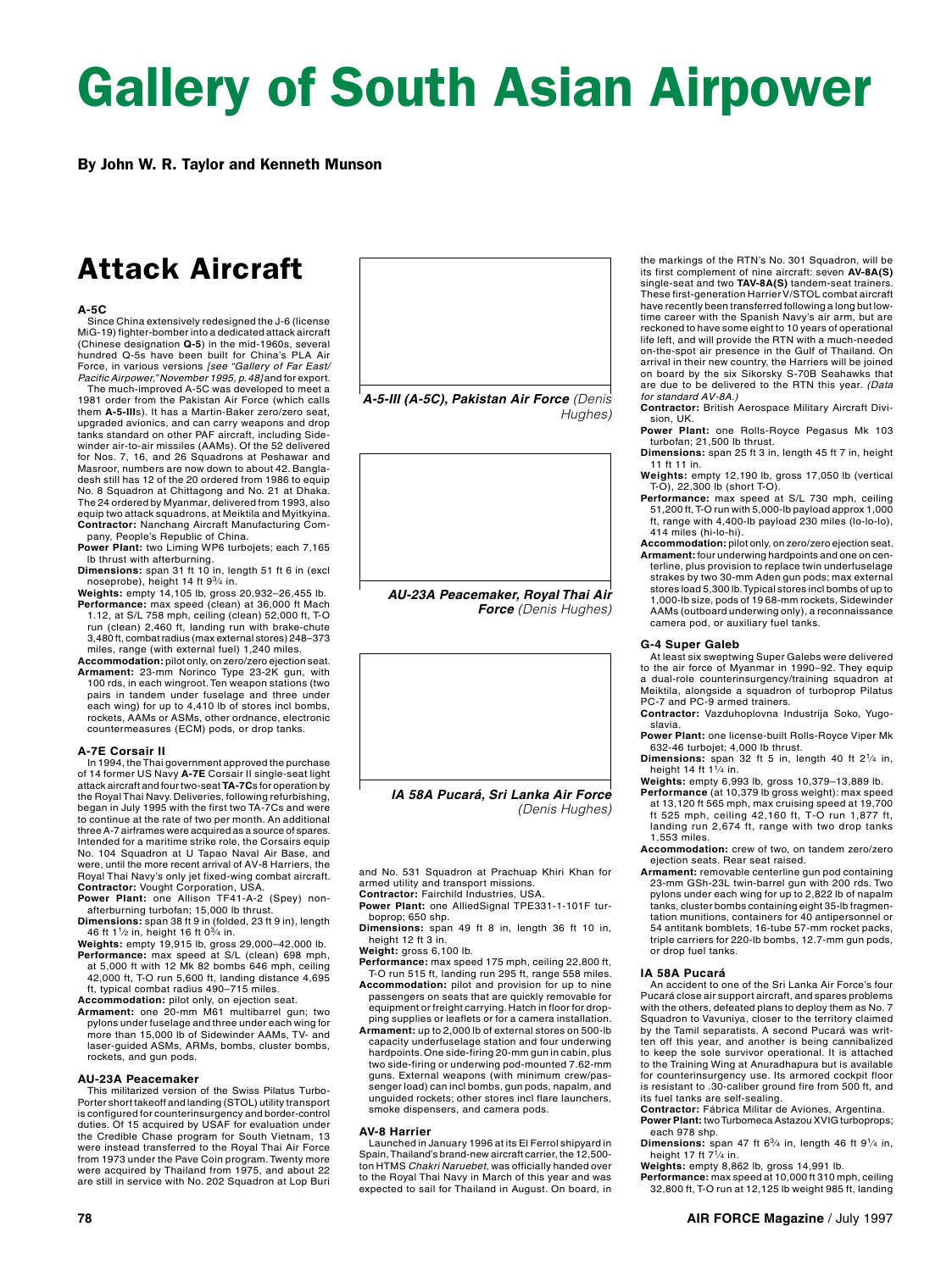# Gallery of South Asian Airpower

By John W. R. Taylor and Kenneth Munson

## Attack Aircraft

### **A‑5C**

Since China extensively redesigned the J‑6 (license MiG‑19) fighter‑bomber into a dedicated attack aircraft (Chinese designation **Q-5**) in the mid-1960s, several hundred Q‑5s have been built for China's PLA Air Force, in various versions *[see "Gallery of Far East/ Pacific Airpower," November 1995, p. 48]* and for export.

The much-improved A-5C was developed to meet a 1981 order from the Pakistan Air Force (which calls them **A-5-III**s). It has a Martin-Baker zero/zero seat, upgraded avionics, and can carry weapons and drop tanks standard on other PAF aircraft, including Sidewinder air-to-air missiles (AAMs). Of the 52 delivered for Nos. 7, 16, and 26 Squadrons at Peshawar and Masroor, numbers are now down to about 42. Bangladesh still has 12 of the 20 ordered from 1986 to equip No. 8 Squadron at Chittagong and No. 21 at Dhaka. The 24 ordered by Myanmar, delivered from 1993, also equip two attack squadrons, at Meiktila and Myitkyina. **Contractor:** Nanchang Aircraft Manufacturing Company, People's Republic of China.

**Power Plant:** two Liming WP6 turbojets; each 7,165 lb thrust with afterburning.

- **Dimensions:** span 31 ft 10 in, length 51 ft 6 in (excl<br>noseprobe), height 14 ft 9<sup>3</sup>/4 in.<br>**Weights:** empty 14,105 lb, gross 20,932–26,455 lb.
- **Performance:** max speed (clean) at 36,000 ft Mach 1.12, at S/L 758 mph, ceiling (clean) 52,000 ft, T‑O run (clean) 2,460 ft, landing run with brake‑chute 3,480 ft, combat radius (max external stores) 248–373 miles, range (with external fuel) 1,240 miles.
- **Accommodation:** pilot only, on zero/zero ejection seat. **Armament:** 23‑mm Norinco Type 23‑2K gun, with 100 rds, in each wingroot. Ten weapon stations (two pairs in tandem under fuselage and three under each wing) for up to 4,410 lb of stores incl bombs, rockets, AAMs or ASMs, other ordnance, electronic countermeasures (ECM) pods, or drop tanks.

### **A-7E Corsair II**

In 1994, the Thai government approved the purchase of 14 former US Navy **A-7E** Corsair II single-seat light attack aircraft and four two-seat **TA‑7C**s for operation by the Royal Thai Navy. Deliveries, following refurbishing, began in July 1995 with the first two TA-7Cs and were to continue at the rate of two per month. An additional three A-7 airframes were acquired as a source of spares. Intended for a maritime strike role, the Corsairs equip No. 104 Squadron at U Tapao Naval Air Base, and were, until the more recent arrival of AV-8 Harriers, the Royal Thai Navy's only jet fixed-wing combat aircraft. **Contractor:** Vought Corporation, USA. **Power Plant:** one Allison TF41-A-2 (Spey) non-

afterburning turbofan; 15,000 lb thrust.

- **Dimensions:** span 38 ft 9 in (folded, 23 ft 9 in), length 46 ft  $1\frac{1}{2}$  in, height 16 ft  $0\frac{3}{4}$  in. **Weights:** empty 19,915 lb, gross 29,000–42,000 lb.
- **Performance:** max speed at S/L (clean) 698 mph, at 5,000 ft with 12 Mk 82 bombs 646 mph, ceiling 42,000 ft, T‑O run 5,600 ft, landing distance 4,695 ft, typical combat radius 490–715 miles.
- 
- **Accommodation:** pilot only, on ejection seat. **Armament:** one 20-mm M61 multibarrel gun; two pylons under fuselage and three under each wing for more than 15,000 lb of Sidewinder AAMs, TV‑ and laser-guided ASMs, ARMs, bombs, cluster bombs, rockets, and gun pods.

### **AU‑23A Peacemaker**

This militarized version of the Swiss Pilatus Turbo-Porter short takeoff and landing (STOL) utility transport is configured for counterinsurgency and border-control duties. Of 15 acquired by USAF for evaluation under the Credible Chase program for South Vietnam, 13 were instead transferred to the Royal Thai Air Force from 1973 under the Pave Coin program. Twenty more were acquired by Thailand from 1975, and about 22 are still in service with No. 202 Squadron at Lop Buri



*AU-23A Peacemaker, Royal Thai Air Force (Denis Hughes)*



*(Denis Hughes)*

and No. 531 Squadron at Prachuap Khiri Khan for armed utility and transport missions. **Contractor:** Fairchild Industries, USA.

- Power Plant: one AlliedSignal TPE331-1-101F tur-
- boprop; 650 shp. **Dimensions:** span 49 ft 8 in, length 36 ft 10 in, height 12 ft 3 in.
- **Weight:** gross 6,100 lb. **Performance:** max speed 175 mph, ceiling 22,800 ft,
- T‑O run 515 ft, landing run 295 ft, range 558 miles.
- **Accommodation:** pilot and provision for up to nine passengers on seats that are quickly removable for equipment or freight carrying. Hatch in floor for drop-
- ping supplies or leaflets or for a camera installation. **Armament:** up to 2,000 lb of external stores on 500-lb capacity underfuselage station and four underwing hardpoints. One side-firing 20-mm gun in cabin, plus two side-firing or underwing pod-mounted 7.62-mm guns. External weapons (with minimum crew/pas‑ senger load) can incl bombs, gun pods, napalm, and unguided rockets; other stores incl flare launchers, smoke dispensers, and camera pods.

#### **AV-8 Harrier**

Launched in January 1996 at its El Ferrol shipyard in Spain, Thailand's brand-new aircraft carrier, the 12,500-ton HTMS *Chakri Naruebet,* was officially handed over to the Royal Thai Navy in March of this year and was expected to sail for Thailand in August. On board, in

the markings of the RTN's No. 301 Squadron, will be its first complement of nine aircraft: seven **AV-8A(S)**  single-seat and two **TAV-8A(S)** tandem-seat trainers. These first-generation Harrier V/STOL combat aircraft have recently been transferred following a long but lowtime career with the Spanish Navy's air arm, but are reckoned to have some eight to 10 years of operational life left, and will provide the RTN with a much-needed on-the-spot air presence in the Gulf of Thailand. On arrival in their new country, the Harriers will be joined on board by the six Sikorsky S-70B Seahawks that are due to be delivered to the RTN this year. *(Data* 

*for standard AV-8A.)* **Contractor:** British Aerospace Military Aircraft Divi‑ sion, UK.

- Power Plant: one Rolls-Royce Pegasus Mk 103<br>turbofan; 21,500 lb thrust.
- **Dimensions:** span 25 ft 3 in, length 45 ft 7 in, height 11 ft 11 in.
- **Weights:** empty 12,190 lb, gross 17,050 lb (vertical T-O), 22,300 lb (short T-O).
- **Performance:** max speed at S/L 730 mph, ceiling 51,200 ft, T-O run with 5,000-lb payload approx 1,000 ft, range with 4,400-lb payload 230 miles (lo-lo-lo), 414 miles (hi-lo-hi).
- **Accommodation:** pilot only, on zero/zero ejection seat.
- **Armament:** four underwing hardpoints and one on cen‑ terline, plus provision to replace twin underfuselage strakes by two 30-mm Aden gun pods; max external stores load 5,300 lb. Typical stores incl bombs of up to 1,000-lb size, pods of 19 68-mm rockets, Sidewinder AAMs (outboard underwing only), a reconnaissance camera pod, or auxiliary fuel tanks.

#### **G‑4 Super Galeb**

At least six sweptwing Super Galebs were delivered to the air force of Myanmar in 1990–92. They equip a dual-role counterinsurgency/training squadron at Meiktila, alongside a squadron of turboprop Pilatus PC-7 and PC-9 armed trainers.

Contractor: Vazduhoplovna Industrija Soko, Yugoslavia.

**Power Plant:** one license-built Rolls-Royce Viper Mk 632‑46 turbojet; 4,000 lb thrust.

- **Dimensions:** span 32 ft 5 in, length 40 ft 21⁄4 in, height 14 ft  $1^{1}/4$  in.
- **Weights:** empty 6,993 lb, gross 10,379–13,889 lb. **Performance** (at 10,379 lb gross weight): max speed
- at 13,120 ft 565 mph, max cruising speed at 19,700 ft 525 mph, ceiling 42,160 ft, T‑O run 1,877 ft, landing run 2,674 ft, range with two drop tanks 1,553 miles.

**Accommodation:** crew of two, on tandem zero/zero egetion seats. Rear seat raised.

**Armament:** removable centerline gun pod containing 23‑mm GSh‑23L twin‑barrel gun with 200 rds. Two pylons under each wing for up to 2,822 lb of napalm tanks, cluster bombs containing eight 35‑lb fragmen‑ tation munitions, containers for 40 antipersonnel or 54 antitank bomblets, 16‑tube 57-mm rocket packs, triple carriers for 220‑lb bombs, 12.7‑mm gun pods, or drop fuel tanks.

### **IA 58A Pucará**

An accident to one of the Sri Lanka Air Force's four Pucará close air support aircraft, and spares problems with the others, defeated plans to deploy them as No. 7 Squadron to Vavuniya, closer to the territory claimed by the Tamil separatists. A second Pucará was writ‑ ten off this year, and another is being cannibalized to keep the sole survivor operational. It is attached to the Training Wing at Anuradhapura but is available for counterinsurgency use. Its armored cockpit floor is resistant to .30‑caliber ground fire from 500 ft, and its fuel tanks are self‑sealing.

**Contractor:** Fábrica Militar de Aviones, Argentina. **Power Plant:** two Turbomeca Astazou XVIG turboprops; each 978 shp.

**Dimensions:** span 47 ft 6<sup>3</sup>/4 in, length 46 ft 9<sup>1</sup>/4 in,<br>height 17 ft 7<sup>1</sup>/4 in.<br>**Weights:** empty 8,862 lb, gross 14,991 lb.

**Performance:** max speed at 10,000 ft 310 mph, ceiling 32,800 ft, T‑O run at 12,125 lb weight 985 ft, landing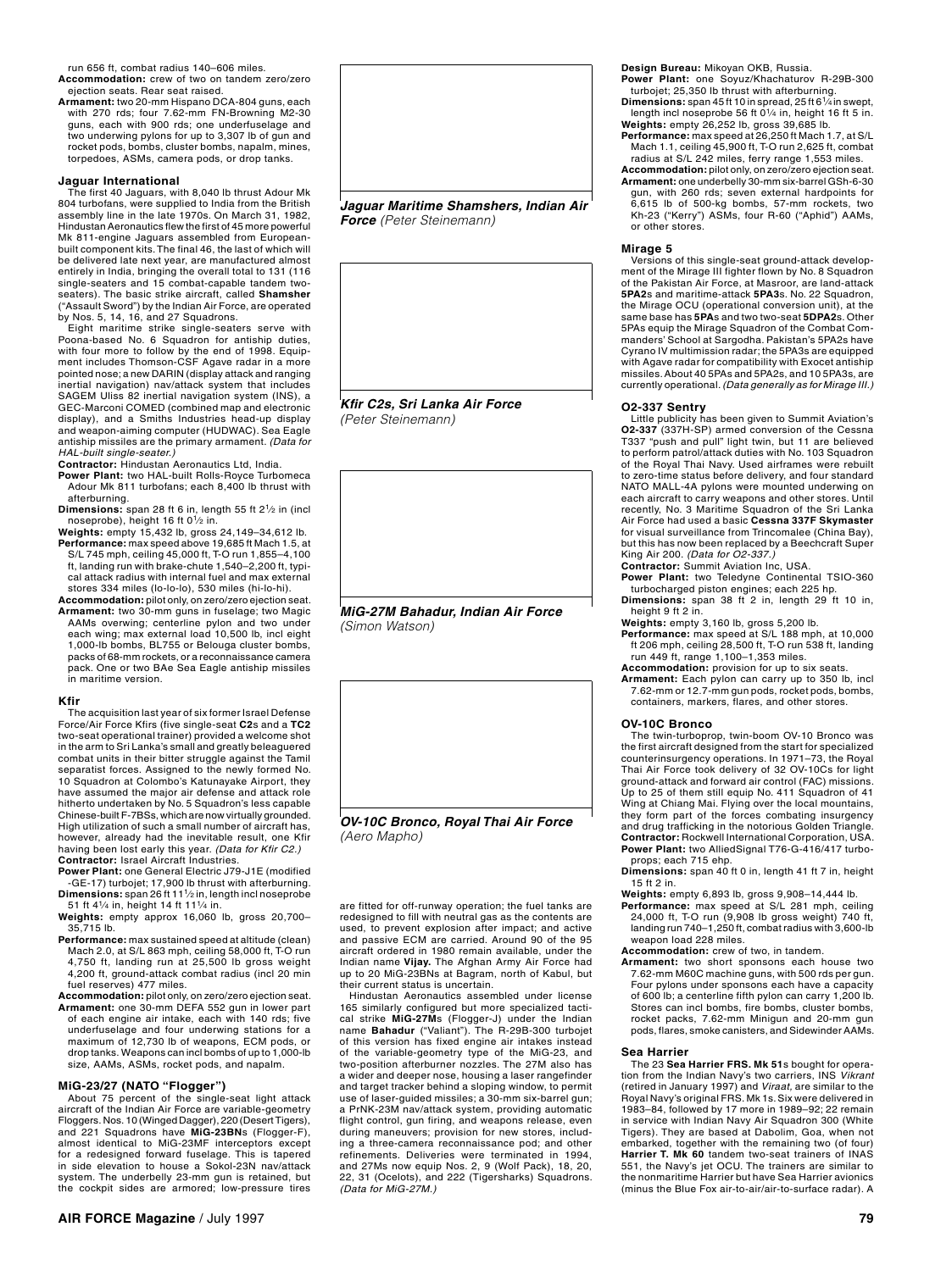run 656 ft, combat radius 140–606 miles.

- **Accommodation:** crew of two on tandem zero/zero ejection seats. Rear seat raised.
- **Armament:** two 20‑mm Hispano DCA‑804 guns, each with 270 rds; four 7.62‑mm FN‑Browning M2‑30 guns, each with 900 rds; one underfuselage and two underwing pylons for up to 3,307 lb of gun and rocket pods, bombs, cluster bombs, napalm, mines, torpedoes, ASMs, camera pods, or drop tanks.

#### **Jaguar International**

The first 40 Jaguars, with 8,040 lb thrust Adour Mk 804 turbofans, were supplied to India from the British assembly line in the late 1970s. On March 31, 1982, Hindustan Aeronautics flew the first of 45 more powerful Mk 811-engine Jaguars assembled from Europeanbuilt component kits. The final 46, the last of which will be delivered late next year, are manufactured almost entirely in India, bringing the overall total to 131 (116 single-seaters and 15 combat-capable tandem twoseaters). The basic strike aircraft, called **Shamsher** ("Assault Sword") by the Indian Air Force, are operated by Nos. 5, 14, 16, and 27 Squadrons.

Eight maritime strike single‑seaters serve with Poona-based No. 6 Squadron for antiship duties, with four more to follow by the end of 1998. Equipment includes Thomson-CSF Agave radar in a more pointed nose; a new DARIN (display attack and ranging inertial navigation) nav/attack system that includes SAGEM Uliss 82 inertial navigation system (INS), a GEC-Marconi COMED (combined map and electronic display), and a Smiths Industries head-up display and weapon-aiming computer (HUDWAC). Sea Eagle antiship missiles are the primary armament. *(Data for HAL-built single-seater.)*

- **Contractor:** Hindustan Aeronautics Ltd, India. **Power Plant:** two HAL‑built Rolls‑Royce Turbomeca Adour Mk 811 turbofans; each 8,400 lb thrust with afterburning.
- **Dimensions:** span 28 ft 6 in, length 55 ft 2<sup>1</sup>/<sub>2</sub> in (incl noseprobe), height 16 ft 0<sup>1</sup>/<sub>2</sub> in.
- **Weights:** empty 15,432 lb, gross 24,149–34,612 lb. **Performance:** max speed above 19,685 ft Mach 1.5, at S/L 745 mph, ceiling 45,000 ft, T‑O run 1,855–4,100 ft, landing run with brake-chute 1,540-2,200 ft, typical attack radius with internal fuel and max external stores 334 miles (lo-lo-lo), 530 miles (hi-lo-hi).
- **Accommodation:** pilot only, on zero/zero ejection seat. **Armament:** two 30‑mm guns in fuselage; two Magic AAMs overwing; centerline pylon and two under each wing; max external load 10,500 lb, incl eight 1,000‑lb bombs, BL755 or Belouga cluster bombs, packs of 68‑mm rockets, or a reconnaissance camera pack. One or two BAe Sea Eagle antiship missiles in maritime version.

#### **Kfir**

The acquisition last year of six former Israel Defense Force/Air Force Kfirs (five single-seat **C2**s and a **TC2**  two-seat operational trainer) provided a welcome shot in the arm to Sri Lanka's small and greatly beleaguered combat units in their bitter struggle against the Tamil separatist forces. Assigned to the newly formed No. 10 Squadron at Colombo's Katunayake Airport, they have assumed the major air defense and attack role hitherto undertaken by No. 5 Squadron's less capable Chinese-built F-7BSs, which are now virtually grounded. High utilization of such a small number of aircraft has, however, already had the inevitable result, one Kfir having been lost early this year. *(Data for Kfir C2.)* **Contractor:** Israel Aircraft Industries.

**Power Plant:** one General Electric J79-J1E (modified -GE-17) turbojet; 17,900 lb thrust with afterburning. **Dimensions:** span 26 ft 111⁄2 in, length incl noseprobe

- 51 ft 41⁄4 in, height 14 ft 111⁄4 in. **Weights:** empty approx 16,060 lb, gross 20,700– 35,715 lb.
- **Performance:** max sustained speed at altitude (clean) Mach 2.0, at S/L 863 mph, ceiling 58,000 ft, T-O run 4,750 ft, landing run at 25,500 lb gross weight 4,200 ft, ground-attack combat radius (incl 20 min fuel reserves) 477 miles.

**Accommodation:** pilot only, on zero/zero ejection seat. **Armament:** one 30-mm DEFA 552 gun in lower part

of each engine air intake, each with 140 rds; five underfuselage and four underwing stations for a maximum of 12,730 lb of weapons, ECM pods, or drop tanks. Weapons can incl bombs of up to 1,000-lb size, AAMs, ASMs, rocket pods, and napalm.

**MiG‑23/27 (NATO "Flogger")** About 75 percent of the single-seat light attack aircraft of the Indian Air Force are variable-geometry Floggers. Nos. 10 (Winged Dagger), 220 (Desert Tigers), and 221 Squadrons have **MiG-23BN**s (Flogger-F), almost identical to MiG-23MF interceptors except for a redesigned forward fuselage. This is tapered in side elevation to house a Sokol-23N nav/attack system. The underbelly 23‑mm gun is retained, but the cockpit sides are armored; low-pressure tires



*Force (Peter Steinemann)*



*(Peter Steinemann)*



*MiG-27M Bahadur, Indian Air Force (Simon Watson)*



*(Aero Mapho)*

are fitted for off-runway operation; the fuel tanks are redesigned to fill with neutral gas as the contents are used, to prevent explosion after impact; and active and passive ECM are carried. Around 90 of the 95 aircraft ordered in 1980 remain available, under the Indian name **Vijay.** The Afghan Army Air Force had up to 20 MiG-23BNs at Bagram, north of Kabul, but

their current status is uncertain. Hindustan Aeronautics assembled under license 165 similarly configured but more specialized tactical strike **MiG-27M**s (Flogger-J) under the Indian name **Bahadur** ("Valiant"). The R-29B-300 turbojet of this version has fixed engine air intakes instead of the variable-geometry type of the MiG-23, and<br>two-position afterburner nozzles. The 27M also has a wider and deeper nose, housing a laser rangefinder and target tracker behind a sloping window, to permit use of laser‑guided missiles; a 30‑mm six‑barrel gun; a PrNK‑23M nav/attack system, providing automatic flight control, gun firing, and weapons release, even during maneuvers; provision for new stores, includ‑ ing a three-camera reconnaissance pod; and other refinements. Deliveries were terminated in 1994, and 27Ms now equip Nos. 2, 9 (Wolf Pack), 18, 20, 22, 31 (Ocelots), and 222 (Tigersharks) Squadrons. *(Data for MiG-27M.)*

**Design Bureau:** Mikoyan OKB, Russia.

- Power Plant: one Soyuz/Khachaturov R-29B-300 turbojet; 25,350 lb thrust with afterburning.
- **Dimensions:** span 45 ft 10 in spread, 25 ft 61⁄4 in swept, length incl noseprobe 56 ft 01⁄4 in, height 16 ft 5 in. **Weights:** empty 26,252 lb, gross 39,685 lb. **Performance:** max speed at 26,250 ft Mach 1.7, at S/L
- Mach 1.1, ceiling 45,900 ft, T‑O run 2,625 ft, combat radius at S/L 242 miles, ferry range 1,553 miles.
- **Accommodation:** pilot only, on zero/zero ejection seat. **Armament:** one underbelly 30‑mm six‑barrel GSh‑6‑30 gun, with 260 rds; seven external hardpoints for 6,615 lb of 500‑kg bombs, 57‑mm rockets, two Kh‑23 ("Kerry") ASMs, four R‑60 ("Aphid") AAMs,

## **Mirage 5**

or other stores.

Versions of this single-seat ground-attack develop‑ ment of the Mirage III fighter flown by No. 8 Squadron of the Pakistan Air Force, at Masroor, are land-attack **5PA2**s and maritime-attack **5PA3**s. No. 22 Squadron, the Mirage OCU (operational conversion unit), at the same base has **5PA**s and two two-seat **5DPA2**s. Other 5PAs equip the Mirage Squadron of the Combat Com‑ manders' School at Sargodha. Pakistan's 5PA2s have Cyrano IV multimission radar; the 5PA3s are equipped with Agave radar for compatibility with Exocet antiship missiles. About 40 5PAs and 5PA2s, and 10 5PA3s, are currently operational. *(Data generally as for Mirage III.)*

**O2‑337 Sentry** Little publicity has been given to Summit Aviation's **O2‑337** (337H-SP) armed conversion of the Cessna T337 "push and pull" light twin, but 11 are believed to perform patrol/attack duties with No. 103 Squadron of the Royal Thai Navy. Used airframes were rebuilt to zero-time status before delivery, and four standard NATO MALL‑4A pylons were mounted underwing on each aircraft to carry weapons and other stores. Until recently, No. 3 Maritime Squadron of the Sri Lanka Air Force had used a basic **Cessna 337F Skymaster** for visual surveillance from Trincomalee (China Bay), but this has now been replaced by a Beechcraft Super King Air 200. *(Data for O2-337.)*

**Contractor:** Summit Aviation Inc, USA.

- **Power Plant:** two Teledyne Continental TSIO‑360 turbocharged piston engines; each 225 hp.
- **Dimensions:** span 38 ft 2 in, length 29 ft 10 in, height 9 ft 2 in. **Weights:** empty 3,160 lb, gross 5,200 lb.
- **Performance:** max speed at S/L 188 mph, at 10,000 ft 206 mph, ceiling 28,500 ft, T-O run 538 ft, landing run 449 ft, range 1,100–1,353 miles.
- **Accommodation:** provision for up to six seats.
- **Armament:** Each pylon can carry up to 350 lb, incl 7.62‑mm or 12.7‑mm gun pods, rocket pods, bombs, containers, markers, flares, and other stores.

#### **OV‑10C Bronco**

The twin-turboprop, twin-boom OV-10 Bronco was the first aircraft designed from the start for specialized counterinsurgency operations. In 1971–73, the Royal Thai Air Force took delivery of 32 OV-10Cs for light ground-attack and forward air control (FAC) missions. Up to 25 of them still equip No. 411 Squadron of 41 Wing at Chiang Mai. Flying over the local mountains, they form part of the forces combating insurgency and drug trafficking in the notorious Golden Triangle. **Contractor:** Rockwell International Corporation, USA. **Power Plant:** two AlliedSignal T76‑G‑416/417 turbo‑ props; each 715 ehp.

- **Dimensions:** span 40 ft 0 in, length 41 ft 7 in, height 15 ft 2 in.
- **Weights:** empty 6,893 lb, gross 9,908–14,444 lb.
- **Performance:** max speed at S/L 281 mph, ceiling 24,000 ft, T‑O run (9,908 lb gross weight) 740 ft, landing run 740–1,250 ft, combat radius with 3,600-lb weapon load 228 miles.
- **Accommodation:** crew of two, in tandem.
- **Armament:** two short sponsons each house two 7.62‑mm M60C machine guns, with 500 rds per gun. Four pylons under sponsons each have a capacity of 600 lb; a centerline fifth pylon can carry 1,200 lb. Stores can incl bombs, fire bombs, cluster bombs, rocket packs, 7.62‑mm Minigun and 20‑mm gun pods, flares, smoke canisters, and Sidewinder AAMs.

#### **Sea Harrier**

The 23 **Sea Harrier FRS. Mk 51**s bought for opera‑ tion from the Indian Navy's two carriers, INS *Vikrant*  (retired in January 1997) and *Viraat,* are similar to the Royal Navy's original FRS. Mk 1s. Six were delivered in 1983–84, followed by 17 more in 1989–92; 22 remain in service with Indian Navy Air Squadron 300 (White Tigers). They are based at Dabolim, Goa, when not embarked, together with the remaining two (of four) **Harrier T. Mk 60** tandem two-seat trainers of INAS<br>551, the Navy's jet OCU. The trainers are similar to the nonmaritime Harrier but have Sea Harrier avionics (minus the Blue Fox air‑to‑air/air‑to‑surface radar). A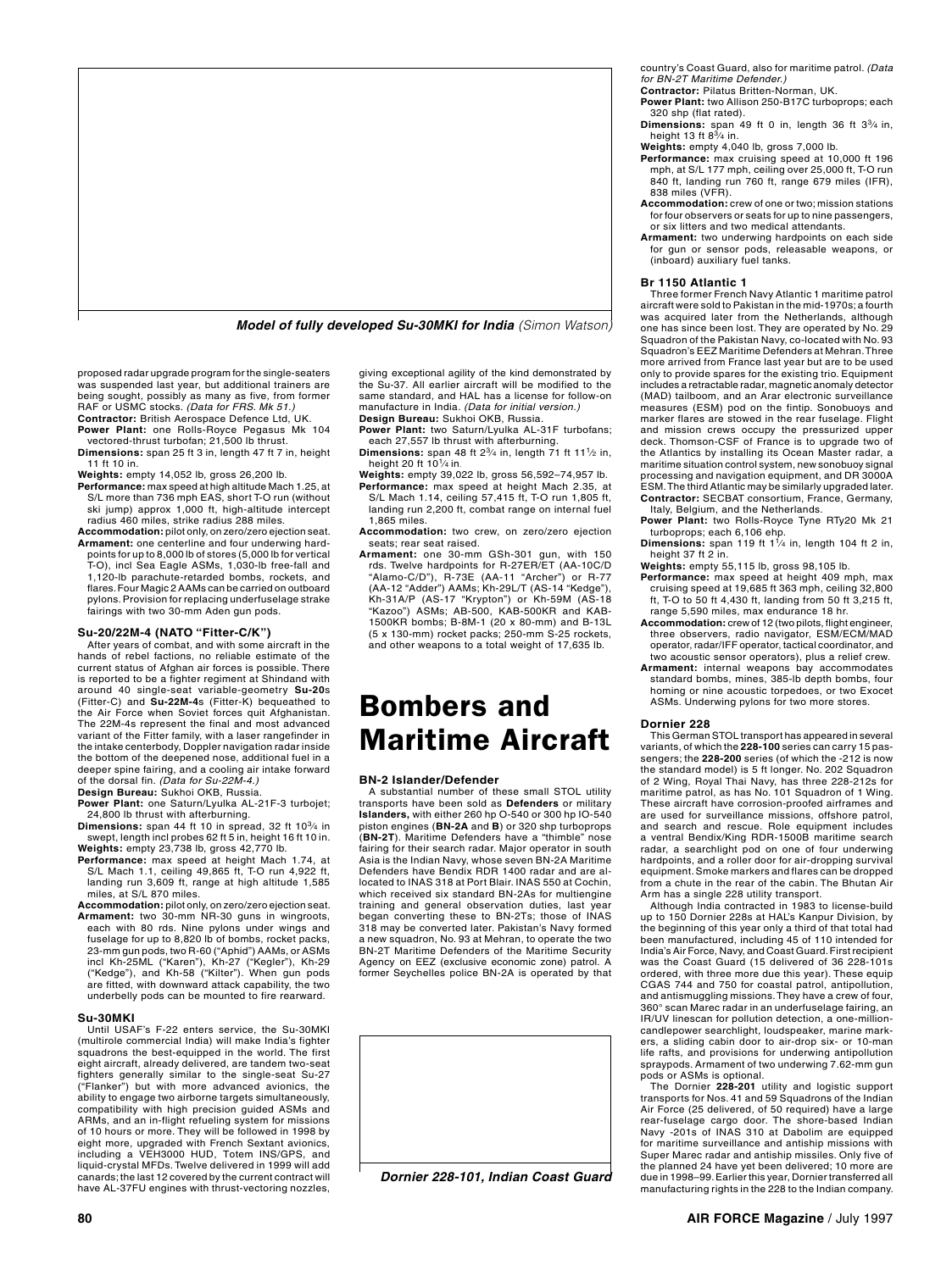

*Model of fully developed Su-30MKI for India (Simon Watson)*

proposed radar upgrade program for the single-seaters was suspended last year, but additional trainers are being sought, possibly as many as five, from former RAF or USMC stocks. *(Data for FRS. Mk 51.)*

- **Contractor:** British Aerospace Defence Ltd, UK. **Power Plant:** one Rolls‑Royce Pegasus Mk 104 vectored-thrust turbofan; 21,500 lb thrust.
- **Dimensions:** span 25 ft 3 in, length 47 ft 7 in, height 11 ft 10 in.
- **Weights:** empty 14,052 lb, gross 26,200 lb.
- **Performance:** max speed at high altitude Mach 1.25, at S/L more than 736 mph EAS, short T-O run (without ski jump) approx 1,000 ft, high-altitude intercept radius 460 miles, strike radius 288 miles.
- **Accommodation:** pilot only, on zero/zero ejection seat. **Armament:** one centerline and four underwing hard‑ points for up to 8,000 lb of stores (5,000 lb for vertical
- T-O), incl Sea Eagle ASMs, 1,030‑lb free‑fall and 1,120‑lb parachute-retarded bombs, rockets, and flares. Four Magic 2 AAMs can be carried on outboard pylons. Provision for replacing underfuselage strake fairings with two 30-mm Aden gun pods.

### **Su‑20/22M-4 (NATO "Fitter-C/K")**

After years of combat, and with some aircraft in the hands of rebel factions, no reliable estimate of the current status of Afghan air forces is possible. There is reported to be a fighter regiment at Shindand with around 40 single-seat variable-geometry **Su-20**s (Fitter-C) and **Su-22M-4**s (Fitter-K) bequeathed to the Air Force when Soviet forces quit Afghanistan. The 22M-4s represent the final and most advanced variant of the Fitter family, with a laser rangefinder in the intake centerbody, Doppler navigation radar inside the bottom of the deepened nose, additional fuel in a deeper spine fairing, and a cooling air intake forward of the dorsal fin. *(Data for Su-22M-4.)* **Design Bureau:** Sukhoi OKB, Russia.

**Power Plant:** one Saturn/Lyulka AL‑21F‑3 turbojet;

- 24,800 lb thrust with afterburning. **Dimensions:** span 44 ft 10 in spread, 32 ft 103⁄4 in
- swept, length incl probes 62 ft 5 in, height 16 ft 10 in. **Weights:** empty 23,738 lb, gross 42,770 lb. **Performance:** max speed at height Mach 1.74, at S/L Mach 1.1, ceiling 49,865 ft, T‑O run 4,922 ft, landing run 3,609 ft, range at high altitude 1,585 miles, at S/L 870 miles.
- **Accommodation:** pilot only, on zero/zero ejection seat. **Armament:** two 30‑mm NR‑30 guns in wingroots, each with 80 rds. Nine pylons under wings and fuselage for up to 8,820 lb of bombs, rocket packs, 23-mm gun pods, two R-60 ("Aphid") AAMs, or ASMs<br>incl Kh-25ML ("Karen"), Kh-27 ("Kegler"), Kh-29<br>("Kedge"), and Kh-58 ("Kilter"). When gun pods are fitted, with downward attack capability, the two underbelly pods can be mounted to fire rearward.

#### **Su-30MKI**

Until USAF's F-22 enters service, the Su-30MKI (multirole commercial India) will make India's fighter squadrons the best-equipped in the world. The first eight aircraft, already delivered, are tandem two-seat fighters generally similar to the single-seat Su-27 ("Flanker") but with more advanced avionics, the ability to engage two airborne targets simultaneously, compatibility with high precision guided ASMs and ARMs, and an in-flight refueling system for missions of 10 hours or more. They will be followed in 1998 by eight more, upgraded with French Sextant avionics including a VEH3000 HUD, Totem INS/GPS, and liquid-crystal MFDs. Twelve delivered in 1999 will add canards; the last 12 covered by the current contract will have AL-37FU engines with thrust-vectoring nozzles,

giving exceptional agility of the kind demonstrated by the Su-37. All earlier aircraft will be modified to the same standard, and HAL has a license for follow-on manufacture in India. *(Data for initial version.)* **Design Bureau:** Sukhoi OKB, Russia.

- **Power Plant:** two Saturn/Lyulka AL-31F turbofans;
- each 27,557 lb thrust with afterburning.<br>**Dimensions:** span 48 ft 2<sup>3</sup>/<sub>4</sub> in, length 71 ft 11<sup>1</sup>/<sub>2</sub> in, height 20 ft 10<sup>1</sup>/<sub>4</sub> in.
- **Weights:** empty 39,022 lb, gross 56,592–74,957 lb. **Performance:** max speed at height Mach 2.35, at S/L Mach 1.14, ceiling 57,415 ft, T-O run 1,805 ft, landing run 2,200 ft, combat range on internal fuel 1,865 miles.
- **Accommodation:** two crew, on zero/zero ejection seats; rear seat raised.
- **Armament:** one 30-mm GSh-301 gun, with 150 rds. Twelve hardpoints for R-27ER/ET (AA-10C/D "Alamo-C/D"), R-73E (AA-11 "Archer") or R-77<br>(AA-12 "Adder") AAMs; Kh-29L/T (AS-14 "Kedge"),<br>Kh-31A/P (AS-17 "Krypton") or Kh-59M (AS-18<br>"Kazoo") ASMs; AB-500, KAB-500KR and KAB-1500KR bombs; B-8M-1 (20 x 80-mm) and B-13L (5 x 130-mm) rocket packs; 250-mm S-25 rockets, and other weapons to a total weight of 17,635 lb.

## Bombers and Maritime Aircraft

#### **BN‑2 Islander/Defender**

A substantial number of these small STOL utility transports have been sold as **Defenders** or military **Islanders,** with either 260 hp O‑540 or 300 hp IO‑540 piston engines (**BN-2A** and **B**) or 320 shp turboprops (**BN-2T**). Maritime Defenders have a "thimble" nose fairing for their search radar. Major operator in south Asia is the Indian Navy, whose seven BN-2A Maritime Defenders have Bendix RDR 1400 radar and are allocated to INAS 318 at Port Blair. INAS 550 at Cochin, which received six standard BN-2As for multiengine training and general observation duties, last year began converting these to BN-2Ts; those of INAS 318 may be converted later. Pakistan's Navy formed a new squadron, No. 93 at Mehran, to operate the two BN-2T Maritime Defenders of the Maritime Security Agency on EEZ (exclusive economic zone) patrol. A former Seychelles police BN-2A is operated by that



*Dornier 228-101, Indian Coast Guard*

country's Coast Guard, also for maritime patrol. *(Data for BN-2T Maritime Defender.)*

**Contractor:** Pilatus Britten‑Norman, UK.

- **Power Plant:** two Allison 250‑B17C turboprops; each 320 shp (flat rated).
- **Dimensions:** span 49 ft 0 in, length 36 ft 3<sup>3</sup>/<sub>4</sub> in, height 13 ft 8<sup>3</sup>/<sub>4</sub> in.
- **Weights:** empty 4,040 lb, gross 7,000 lb.
- **Performance:** max cruising speed at 10,000 ft 196 mph, at S/L 177 mph, ceiling over 25,000 ft, T-O run 840 ft, landing run 760 ft, range 679 miles (IFR), 838 miles (VFR).
- **Accommodation:** crew of one or two; mission stations for four observers or seats for up to nine passengers, or six litters and two medical attendants.
- **Armament:** two underwing hardpoints on each side for gun or sensor pods, releasable weapons, or (inboard) auxiliary fuel tanks.

#### **Br 1150 Atlantic 1**

Three former French Navy Atlantic 1 maritime patrol aircraft were sold to Pakistan in the mid-1970s; a fourth was acquired later from the Netherlands, although one has since been lost. They are operated by No. 29 Squadron of the Pakistan Navy, co-located with No. 93 Squadron's EEZ Maritime Defenders at Mehran. Three more arrived from France last year but are to be used only to provide spares for the existing trio. Equipment includes a retractable radar, magnetic anomaly detector (MAD) tailboom, and an Arar electronic surveillance measures (ESM) pod on the fintip. Sonobuoys and marker flares are stowed in the rear fuselage. Flight and mission crews occupy the pressurized upper deck. Thomson-CSF of France is to upgrade two of the Atlantics by installing its Ocean Master radar, a maritime situation control system, new sonobuoy signal processing and navigation equipment, and DR 3000A ESM. The third Atlantic may be similarly upgraded later. **Contractor:** SECBAT consortium, France, Germany, Italy, Belgium, and the Netherlands.

- **Power Plant:** two Rolls‑Royce Tyne RTy20 Mk 21
- turboprops; each 6,106 ehp. **Dimensions:** span 119 ft 11⁄4 in, length 104 ft 2 in, height 37 ft 2 in.
- **Weights:** empty 55,115 lb, gross 98,105 lb.
- **Performance:** max speed at height 409 mph, max cruising speed at 19,685 ft 363 mph, ceiling 32,800 ft, T‑O to 50 ft 4,430 ft, landing from 50 ft 3,215 ft, range 5,590 miles, max endurance 18 hr.
- Accommodation: crew of 12 (two pilots, flight engineer three observers, radio navigator, ESM/ECM/MAD operator, radar/IFF operator, tactical coordinator, and two acoustic sensor operators), plus a relief crew.
- **Armament:** internal weapons bay accommodates standard bombs, mines, 385‑lb depth bombs, four homing or nine acoustic torpedoes, or two Exocet ASMs. Underwing pylons for two more stores.

#### **Dornier 228**

This German STOL transport has appeared in several variants, of which the **228‑100** series can carry 15 pas‑ sengers; the **228-200** series (of which the -212 is now the standard model) is 5 ft longer. No. 202 Squadron of 2 Wing, Royal Thai Navy, has three 228-212s for maritime patrol, as has No. 101 Squadron of 1 Wing. These aircraft have corrosion-proofed airframes and are used for surveillance missions, offshore patrol, and search and rescue. Role equipment includes a ventral Bendix/King RDR-1500B maritime search radar, a searchlight pod on one of four underwing hardpoints, and a roller door for air-dropping survival equipment. Smoke markers and flares can be dropped from a chute in the rear of the cabin. The Bhutan Air Arm has a single 228 utility transport.

Although India contracted in 1983 to license-build up to 150 Dornier 228s at HAL's Kanpur Division, by the beginning of this year only a third of that total had been manufactured, including 45 of 110 intended for India's Air Force, Navy, and Coast Guard. First recipient was the Coast Guard (15 delivered of 36 228‑101s ordered, with three more due this year). These equip CGAS 744 and 750 for coastal patrol, antipollution, and antismuggling missions. They have a crew of four, 360° scan Marec radar in an underfuselage fairing, an IR/UV linescan for pollution detection, a one‑million-candlepower searchlight, loudspeaker, marine mark‑ ers, a sliding cabin door to air-drop six- or 10-man life rafts, and provisions for underwing antipollution spraypods. Armament of two underwing 7.62‑mm gun pods or ASMs is optional.

The Dornier **228‑201** utility and logistic support transports for Nos. 41 and 59 Squadrons of the Indian Air Force (25 delivered, of 50 required) have a large rear‑fuselage cargo door. The shore‑based Indian Navy -201s of INAS 310 at Dabolim are equipped for maritime surveillance and antiship missions with Super Marec radar and antiship missiles. Only five of the planned 24 have yet been delivered; 10 more are due in 1998–99. Earlier this year, Dornier transferred all manufacturing rights in the 228 to the Indian company.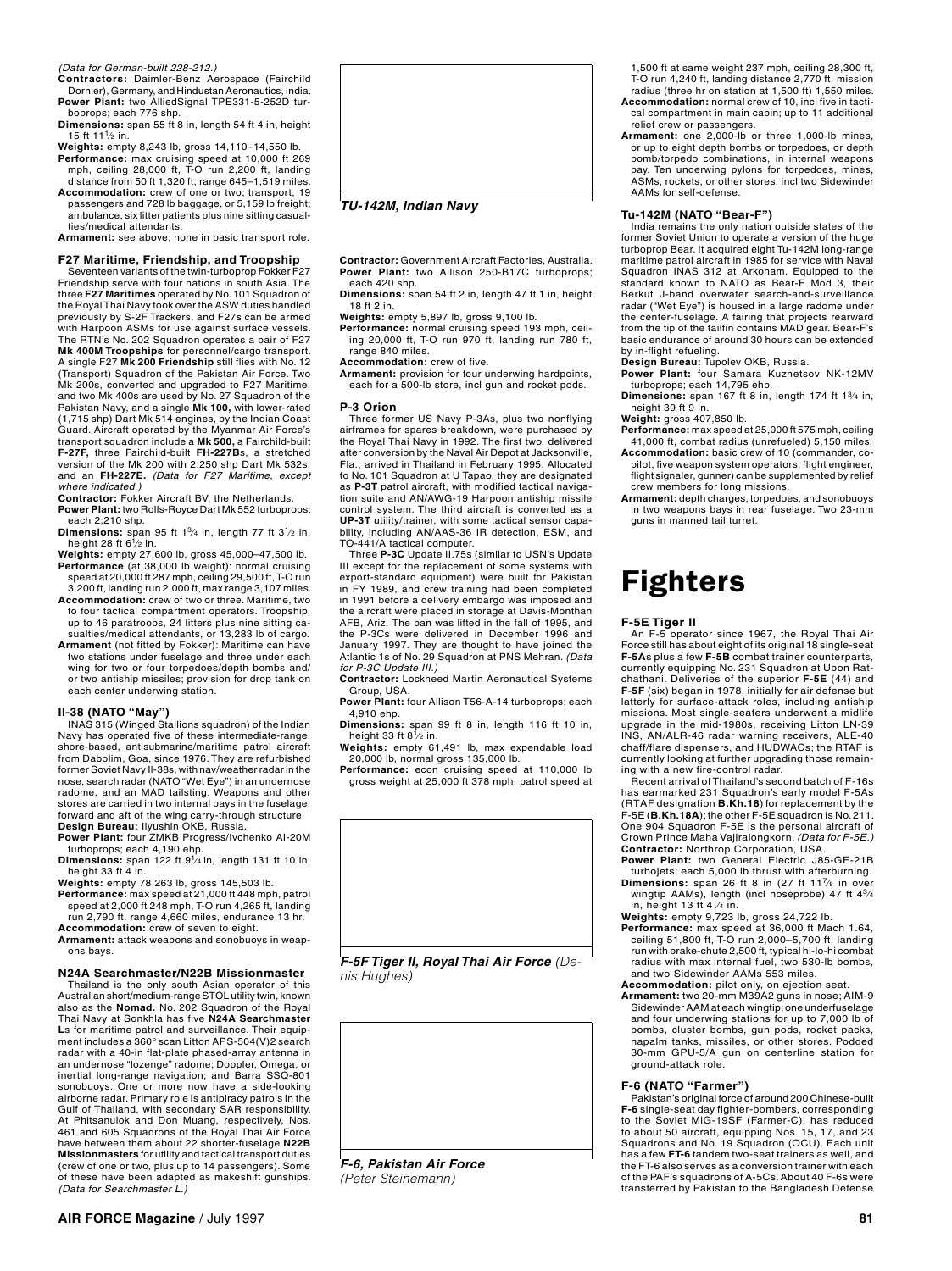*(Data for German-built 228-212.)*

**Contractors:** Daimler-Benz Aerospace (Fairchild Dornier), Germany, and Hindustan Aeronautics, India. Power Plant: two AlliedSignal TPE331-5-252D tur-

boprops; each 776 shp. **Dimensions:** span 55 ft 8 in, length 54 ft 4 in, height 15 ft 111⁄2 in.

**Weights:** empty 8,243 lb, gross 14,110–14,550 lb.

**Performance:** max cruising speed at 10,000 ft 269 mph, ceiling 28,000 ft, T-O run 2,200 ft, landing distance from 50 ft 1,320 ft, range 645–1,519 miles.

**Accommodation:** crew of one or two; transport, 19 passengers and 728 lb baggage, or 5,159 lb freight; ambulance, six litter patients plus nine sitting casual-

ties/medical attendants. **Armament:** see above; none in basic transport role.

## **F27 Maritime, Friendship, and Troopship**

Seventeen variants of the twin-turboprop Fokker F27 Friendship serve with four nations in south Asia. The three **F27 Maritimes** operated by No. 101 Squadron of the Royal Thai Navy took over the ASW duties handled previously by S-2F Trackers, and F27s can be armed with Harpoon ASMs for use against surface vessels. The RTN's No. 202 Squadron operates a pair of F27 **Mk 400M Troopships** for personnel/cargo transport. A single F27 **Mk 200 Friendship** still flies with No. 12 (Transport) Squadron of the Pakistan Air Force. Two Mk 200s, converted and upgraded to F27 Maritime, and two Mk 400s are used by No. 27 Squadron of the Pakistan Navy, and a single **Mk 100,** with lower‑rated (1,715 shp) Dart Mk 514 engines, by the Indian Coast Guard. Aircraft operated by the Myanmar Air Force's transport squadron include a **Mk 500,** a Fairchild-built **F-27F,** three Fairchild‑built **FH‑227B**s, a stretched version of the Mk 200 with 2,250 shp Dart Mk 532s, and an **FH-227E.** *(Data for F27 Maritime, except where indicated.)*

**Contractor:** Fokker Aircraft BV, the Netherlands. **Power Plant:** two Rolls‑Royce Dart Mk 552 turboprops;

each 2,210 shp. **Dimensions:** span 95 ft  $1\frac{3}{4}$  in, length 77 ft  $3\frac{1}{2}$  in, height 28 ft  $6\frac{1}{2}$  in.

- **Weights:** empty 27,600 lb, gross 45,000–47,500 lb. **Performance** (at 38,000 lb weight): normal cruising speed at 20,000 ft 287 mph, ceiling 29,500 ft, T‑O run
- 3,200 ft, landing run 2,000 ft, max range 3,107 miles. **Accommodation:** crew of two or three. Maritime, two to four tactical compartment operators. Troopship,
- up to 46 paratroops, 24 litters plus nine sitting casualties/medical attendants, or 13,283 lb of cargo. **Armament** (not fitted by Fokker): Maritime can have two stations under fuselage and three under each
- wing for two or four torpedoes/depth bombs and/ or two antiship missiles; provision for drop tank on each center underwing station.

#### **II‑38 (NATO "May")**

INAS 315 (Winged Stallions squadron) of the Indian Navy has operated five of these intermediate-range, shore‑based, antisubmarine/maritime patrol aircraft<br>from Dabolim, Goa, since 1976. They are refurbished former Soviet Navy Il-38s, with nav/weather radar in the nose, search radar (NATO "Wet Eye") in an undernose radome, and an MAD tailsting. Weapons and other stores are carried in two internal bays in the fuselage, forward and aft of the wing carry‑through structure. **Design Bureau:** Ilyushin OKB, Russia.

Power Plant: four ZMKB Progress/Ivchenko AI-20M

turboprops; each 4,190 ehp. **Dimensions:** span 122 ft 91⁄4 in, length 131 ft 10 in, height 33 ft 4 in.

**Weights:** empty 78,263 lb, gross 145,503 lb. **Performance:** max speed at 21,000 ft 448 mph, patrol

speed at 2,000 ft 248 mph, T‑O run 4,265 ft, landing run 2,790 ft, range 4,660 miles, endurance 13 hr. **Accommodation:** crew of seven to eight.

**Armament:** attack weapons and sonobuoys in weap‑ ons bays.

#### **N24A Searchmaster/N22B Missionmaster**

Thailand is the only south Asian operator of this Australian short/medium-range STOL utility twin, known also as the **Nomad.** No. 202 Squadron of the Royal Thai Navy at Sonkhla has five **N24A Searchmaster L**s for maritime patrol and surveillance. Their equip‑ ment includes a 360° scan Litton APS-504(V)2 search radar with a 40‑in flat‑plate phased-array antenna in an undernose "lozenge" radome; Doppler, Omega, or inertial long-range navigation; and Barra SSQ-801 sonobuoys. One or more now have a side‑looking airborne radar. Primary role is antipiracy patrols in the Gulf of Thailand, with secondary SAR responsibility. At Phitsanulok and Don Muang, respectively, Nos. 461 and 605 Squadrons of the Royal Thai Air Force have between them about 22 shorter‑fuselage **N22B Missionmasters** for utility and tactical transport duties (crew of one or two, plus up to 14 passengers). Some of these have been adapted as makeshift gunships. *(Data for Searchmaster L.)*



*TU-142M, Indian Navy*

**Contractor:** Government Aircraft Factories, Australia. Power Plant: two Allison 250-B17C turboprops; each 420 shp.

**Dimensions:** span 54 ft 2 in, length 47 ft 1 in, height 18 ft 2 in.

**Weights:** empty 5,897 lb, gross 9,100 lb.

Performance: normal cruising speed 193 mph, ceiling 20,000 ft, T-O run 970 ft, landing run 780 ft, range 840 miles.

**Accommodation:** crew of five.

**Armament:** provision for four underwing hardpoints, each for a 500‑lb store, incl gun and rocket pods.

#### **P‑3 Orion**

Three former US Navy P‑3As, plus two nonflying airframes for spares breakdown, were purchased by the Royal Thai Navy in 1992. The first two, delivered after conversion by the Naval Air Depot at Jacksonville, Fla., arrived in Thailand in February 1995. Allocated to No. 101 Squadron at U Tapao, they are designated as **P-3T** patrol aircraft, with modified tactical navigation suite and AN/AWG-19 Harpoon antiship missile control system. The third aircraft is converted as a **UP‑3T** utility/trainer, with some tactical sensor capa‑ bility, including AN/AAS-36 IR detection, ESM, and TO-441/A tactical computer.

Three **P-3C** Update II.75s (similar to USN's Update III except for the replacement of some systems with export-standard equipment) were built for Pakistan in FY 1989, and crew training had been completed in 1991 before a delivery embargo was imposed and the aircraft were placed in storage at Davis-Monthan AFB, Ariz. The ban was lifted in the fall of 1995, and the P-3Cs were delivered in December 1996 and January 1997. They are thought to have joined the Atlantic 1s of No. 29 Squadron at PNS Mehran. *(Data for P-3C Update III.)*

**Contractor:** Lockheed Martin Aeronautical Systems Group, USA.

**Power Plant:** four Allison T56‑A‑14 turboprops; each 4,910 ehp.

**Dimensions:** span 99 ft 8 in, length 116 ft 10 in, height 33 ft  $8^{1/2}$  in.

**Weights:** empty 61,491 lb, max expendable load 20,000 lb, normal gross 135,000 lb.

**Performance:** econ cruising speed at 110,000 lb gross weight at 25,000 ft 378 mph, patrol speed at



*F-5F Tiger II, Royal Thai Air Force (Denis Hughes)*

*F-6, Pakistan Air Force (Peter Steinemann)*

1,500 ft at same weight 237 mph, ceiling 28,300 ft, T‑O run 4,240 ft, landing distance 2,770 ft, mission radius (three hr on station at 1,500 ft) 1,550 miles.

- **Accommodation:** normal crew of 10, incl five in tacti‑ cal compartment in main cabin; up to 11 additional relief crew or passengers. **Armament:** one 2,000‑lb or three 1,000‑lb mines,
- or up to eight depth bombs or torpedoes, or depth bomb/torpedo combinations, in internal weapons bay. Ten underwing pylons for torpedoes, mines, ASMs, rockets, or other stores, incl two Sidewinder AAMs for self-defense.

#### **Tu‑142M (NATO "Bear‑F")**

India remains the only nation outside states of the former Soviet Union to operate a version of the huge turboprop Bear. It acquired eight Tu-142M long-range maritime patrol aircraft in 1985 for service with Naval Squadron INAS 312 at Arkonam. Equipped to the standard known to NATO as Bear-F Mod 3, their Berkut J‑band overwater search-and-surveillance radar ("Wet Eye") is housed in a large radome under the center-fuselage. A fairing that projects rearward from the tip of the tailfin contains MAD gear. Bear-F's basic endurance of around 30 hours can be extended by in-flight refueling.

**Design Bureau:** Tupolev OKB, Russia. **Power Plant:** four Samara Kuznetsov NK‑12MV turboprops; each 14,795 ehp.

**Dimensions:** span 167 ft 8 in, length 174 ft 13⁄4 in, height 39 ft 9 in.

**Weight:** gross 407,850 lb.

- **Performance:** max speed at 25,000 ft 575 mph, ceiling 41,000 ft, combat radius (unrefueled) 5,150 miles. Accommodation: basic crew of 10 (commander, co-
- pilot, five weapon system operators, flight engineer, flight signaler, gunner) can be supplemented by relief crew members for long missions.
- **Armament:** depth charges, torpedoes, and sonobuoys in two weapons bays in rear fuselage. Two 23‑mm guns in manned tail turret.

## Fighters

## **F‑5E Tiger II**

An F-5 operator since 1967, the Royal Thai Air Force still has about eight of its original 18 single-seat **F‑5A**s plus a few **F‑5B** combat trainer counterparts, currently equipping No. 231 Squadron at Ubon Rat‑ chathani. Deliveries of the superior **F-5E** (44) and **F-5F** (six) began in 1978, initially for air defense but latterly for surface-attack roles, including antiship missions. Most single-seaters underwent a midlife upgrade in the mid-1980s, receiving Litton LN‑39 INS, AN/ALR‑46 radar warning receivers, ALE‑40 chaff/flare dispensers, and HUDWACs; the RTAF is currently looking at further upgrading those remaining with a new fire-control radar.

Recent arrival of Thailand's second batch of F-16s has earmarked 231 Squadron's early model F-5As (RTAF designation **B.Kh.18**) for replacement by the F-5E (**B.Kh.18A**); the other F-5E squadron is No. 211. One 904 Squadron F-5E is the personal aircraft of Crown Prince Maha Vajiralongkorn. *(Data for F-5E.)* **Contractor:** Northrop Corporation, USA. **Power Plant:** two General Electric J85‑GE‑21B

- turbojets; each 5,000 lb thrust with afterburning. **Dimensions:** span 26 ft 8 in (27 ft 11<sup>7</sup>/8 in over wingtip AAMs), length (incl noseprobe) 47 ft 4<sup>3</sup>/4 in, height 13 ft 41⁄4 in.
- **Weights:** empty 9,723 lb, gross 24,722 lb. **Performance:** max speed at 36,000 ft Mach 1.64,
- ceiling 51,800 ft, T‑O run 2,000–5,700 ft, landing run with brake‑chute 2,500 ft, typical hi‑lo‑hi combat radius with max internal fuel, two 530‑lb bombs, and two Sidewinder AAMs 553 miles.
- **Accommodation:** pilot only, on ejection seat. **Armament:** two 20‑mm M39A2 guns in nose; AIM‑9
- Sidewinder AAM at each wingtip; one underfuselage and four underwing stations for up to 7,000 lb of bombs, cluster bombs, gun pods, rocket packs, napalm tanks, missiles, or other stores. Podded 30-mm GPU-5/A gun on centerline station for ground-attack role.

#### **F‑6 (NATO "Farmer")**

Pakistan's original force of around 200 Chinese-built **F-6** single-seat day fighter-bombers, corresponding to the Soviet MiG‑19SF (Farmer-C), has reduced to about 50 aircraft, equipping Nos. 15, 17, and 23 Squadrons and No. 19 Squadron (OCU). Each unit has a few **FT‑6** tandem two-seat trainers as well, and the FT-6 also serves as a conversion trainer with each of the PAF's squadrons of A‑5Cs. About 40 F-6s were transferred by Pakistan to the Bangladesh Defense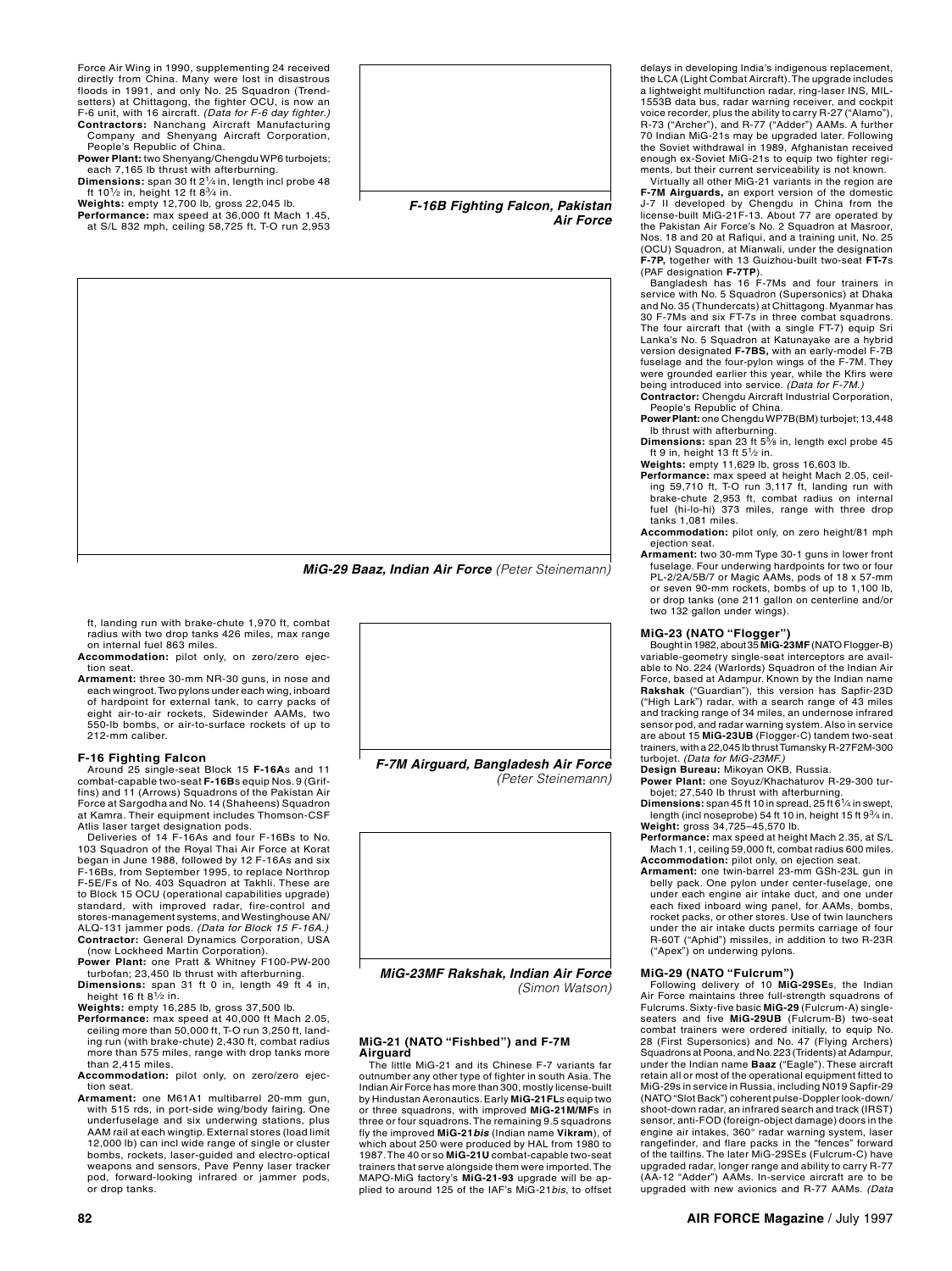Force Air Wing in 1990, supplementing 24 received directly from China. Many were lost in disastrous floods in 1991, and only No. 25 Squadron (Trend‑ setters) at Chittagong, the fighter OCU, is now an F‑6 unit, with 16 aircraft. *(Data for F-6 day fighter.)* **Contractors:** Nanchang Aircraft Manufacturing

Company and Shenyang Aircraft Corporation, People's Republic of China.

**Power Plant:** two Shenyang/Chengdu WP6 turbojets; each 7,165 lb thrust with afterburning. **Dimensions:** span 30 ft 21⁄4 in, length incl probe 48

ft 101⁄2 in, height 12 ft 83⁄4 in.

**Weights:** empty 12,700 lb, gross 22,045 lb. **Performance:** max speed at 36,000 ft Mach 1.45, at S/L 832 mph, ceiling 58,725 ft, T‑O run 2,953



*F-16B Fighting Falcon, Pakistan Air Force*



*MiG-29 Baaz, Indian Air Force (Peter Steinemann)*

ft, landing run with brake‑chute 1,970 ft, combat radius with two drop tanks 426 miles, max range on internal fuel 863 miles.

- **Accommodation:** pilot only, on zero/zero ejec‑ tion seat.
- **Armament:** three 30‑mm NR‑30 guns, in nose and each wingroot. Two pylons under each wing, inboard of hardpoint for external tank, to carry packs of eight air‑to‑air rockets, Sidewinder AAMs, two 550‑lb bombs, or air-to-surface rockets of up to 212‑mm caliber.

#### **F‑16 Fighting Falcon**

Around 25 single-seat Block 15 **F‑16A**s and 11 combat‑capable two‑seat **F‑16B**s equip Nos. 9 (Grif‑ fins) and 11 (Arrows) Squadrons of the Pakistan Air Force at Sargodha and No. 14 (Shaheens) Squadron at Kamra. Their equipment includes Thomson-CSF Atlis laser target designation pods.

Deliveries of 14 F‑16As and four F‑16Bs to No. 103 Squadron of the Royal Thai Air Force at Korat began in June 1988, followed by 12 F-16As and six F-16Bs, from September 1995, to replace Northrop F-5E/Fs of No. 403 Squadron at Takhli. These are to Block 15 OCU (operational capabilities upgrade) standard, with improved radar, fire-control and stores-management systems, and Westinghouse AN/ ALQ-131 jammer pods. *(Data for Block 15 F-16A.)* **Contractor:** General Dynamics Corporation, USA

(now Lockheed Martin Corporation). **Power Plant:** one Pratt & Whitney F100‑PW‑200 turbofan; 23,450 lb thrust with afterburning.

**Dimensions:** span 31 ft 0 in, length 49 ft 4 in, height 16 ft 8<sup>1</sup>/<sub>2</sub> in.

**Weights:** empty 16,285 lb, gross 37,500 lb.

- **Performance:** max speed at 40,000 ft Mach 2.05, ceiling more than 50,000 ft, T-O run 3,250 ft, landing run (with brake-chute) 2,430 ft, combat radius more than 575 miles, range with drop tanks more than 2,415 miles.
- **Accommodation:** pilot only, on zero/zero ejec‑ tion seat.

**Armament:** one M61A1 multibarrel 20‑mm gun, with 515 rds, in port-side wing/body fairing. One underfuselage and six underwing stations, plus AAM rail at each wingtip. External stores (load limit 12,000 lb) can incl wide range of single or cluster bombs, rockets, laser‑guided and electro‑optical weapons and sensors, Pave Penny laser tracker pod, forward-looking infrared or jammer pods, or drop tanks.



*(Peter Steinemann)*



*MiG-23MF Rakshak, Indian Air Force (Simon Watson)*

#### **MiG‑21 (NATO "Fishbed") and F‑7M Airguard**

The little MiG-21 and its Chinese F-7 variants far outnumber any other type of fighter in south Asia. The Indian Air Force has more than 300, mostly license-built by Hindustan Aeronautics. Early **MiG-21FL**s equip two or three squadrons, with improved **MiG-21M/MF**s in three or four squadrons. The remaining 9.5 squadrons fly the improved **MiG‑21***bis* (Indian name **Vikram**), of which about 250 were produced by HAL from 1980 to 1987. The 40 or so **MiG‑21U** combat‑capable two‑seat trainers that serve alongside them were imported. The MAPO-MiG factory's **MiG-21-93** upgrade will be ap‑ plied to around 125 of the IAF's MiG-21*bis*, to offset delays in developing India's indigenous replacement, the LCA (Light Combat Aircraft). The upgrade includes a lightweight multifunction radar, ring-laser INS, MIL-1553B data bus, radar warning receiver, and cockpit voice recorder, plus the ability to carry R-27 ("Alamo"), R-73 ("Archer"), and R-77 ("Adder") AAMs. A further 70 Indian MiG-21s may be upgraded later. Following the Soviet withdrawal in 1989, Afghanistan received enough ex‑Soviet MiG‑21s to equip two fighter regi‑ ments, but their current serviceability is not known.

Virtually all other MiG‑21 variants in the region are **F‑7M Airguards,** an export version of the domestic J‑7 II developed by Chengdu in China from the license‑built MiG‑21F‑13. About 77 are operated by the Pakistan Air Force's No. 2 Squadron at Masroor, Nos. 18 and 20 at Rafiqui, and a training unit, No. 25 (OCU) Squadron, at Mianwali, under the designation **F-7P,** together with 13 Guizhou-built two‑seat **FT‑7**s

(PAF designation **F‑7TP**). Bangladesh has 16 F‑7Ms and four trainers in service with No. 5 Squadron (Supersonics) at Dhaka and No. 35 (Thundercats) at Chittagong. Myanmar has 30 F-7Ms and six FT-7s in three combat squadrons. The four aircraft that (with a single FT‑7) equip Sri Lanka's No. 5 Squadron at Katunayake are a hybrid version designated **F‑7BS,** with an early‑model F‑7B fuselage and the four‑pylon wings of the F‑7M. They were grounded earlier this year, while the Kfirs were being introduced into service. *(Data for F-7M.)* **Contractor:** Chengdu Aircraft Industrial Corporation,

People's Republic of China. **Power Plant:** one Chengdu WP7B(BM) turbojet; 13,448

lb thrust with afterburning. **Dimensions:** span 23 ft 55⁄8 in, length excl probe 45 ft 9 in, height 13 ft 51⁄2 in.

**Weights:** empty 11,629 lb, gross 16,603 lb.

- **Performance:** max speed at height Mach 2.05, ceil‑ ing 59,710 ft, T-O run 3,117 ft, landing run with brake‑chute 2,953 ft, combat radius on internal fuel (hi‑lo‑hi) 373 miles, range with three drop tanks 1,081 miles.
- **Accommodation:** pilot only, on zero height/81 mph ejection seat.
- **Armament:** two 30‑mm Type 30‑1 guns in lower front fuselage. Four underwing hardpoints for two or four PL‑2/2A/5B/7 or Magic AAMs, pods of 18 x 57‑mm or seven 90‑mm rockets, bombs of up to 1,100 lb, or drop tanks (one 211 gallon on centerline and/or two 132 gallon under wings).

**MiG‑23 (NATO "Flogger")** Bought in 1982, about 35 **MiG‑23MF** (NATO Flogger‑B) variable-geometry single-seat interceptors are available to No. 224 (Warlords) Squadron of the Indian Air Force, based at Adampur. Known by the Indian name **Rakshak** ("Guardian"), this version has Sapfir‑23D ("High Lark") radar, with a search range of 43 miles and tracking range of 34 miles, an undernose infrared sensor pod, and radar warning system. Also in service are about 15 **MiG‑23UB** (Flogger‑C) tandem two‑seat trainers, with a 22,045 lb thrust Tumansky R‑27F2M‑300 turbojet. *(Data for MiG-23MF.)*

**Design Bureau:** Mikoyan OKB, Russia.<br>**Power Plant:** one Soyuz/Khachaturov R-29-300 tur-<br>bojet; 27,540 lb thrust with afterburning.

**Dimensions:** span 45 ft 10 in spread, 25 ft 61⁄4 in swept, length (incl noseprobe) 54 ft 10 in, height 15 ft 93⁄4 in. **Weight:** gross 34,725–45,570 lb.

**Performance:** max speed at height Mach 2.35, at S/L Mach 1.1, ceiling 59,000 ft, combat radius 600 miles. **Accommodation:** pilot only, on ejection seat.

**Armament:** one twin‑barrel 23‑mm GSh‑23L gun in belly pack. One pylon under center‑fuselage, one under each engine air intake duct, and one under each fixed inboard wing panel, for AAMs, bombs, rocket packs, or other stores. Use of twin launchers under the air intake ducts permits carriage of four R-60T ("Aphid") missiles, in addition to two R-23R ("Apex") on underwing pylons.

#### **MiG‑29 (NATO "Fulcrum")**

Following delivery of 10 **MiG-29SE**s, the Indian Air Force maintains three full-strength squadrons of Fulcrums. Sixty-five basic **MiG‑29** (Fulcrum‑A) singleseaters and five **MiG‑29UB** (Fulcrum‑B) two-seat combat trainers were ordered initially, to equip No. 28 (First Supersonics) and No. 47 (Flying Archers) Squadrons at Poona, and No. 223 (Tridents) at Adampur, under the Indian name **Baaz** ("Eagle"). These aircraft retain all or most of the operational equipment fitted to MiG‑29s in service in Russia, including N019 Sapfir-29 (NATO "Slot Back") coherent pulse-Doppler look‑down/ shoot-down radar, an infrared search and track (IRST) sensor, anti-FOD (foreign-object damage) doors in the engine air intakes, 360° radar warning system, laser rangefinder, and flare packs in the "fences" forward of the tailfins. The later MiG-29SEs (Fulcrum-C) have upgraded radar, longer range and ability to carry R-77 (AA-12 "Adder") AAMs. In-service aircraft are to be upgraded with new avionics and R-77 AAMs. *(Data*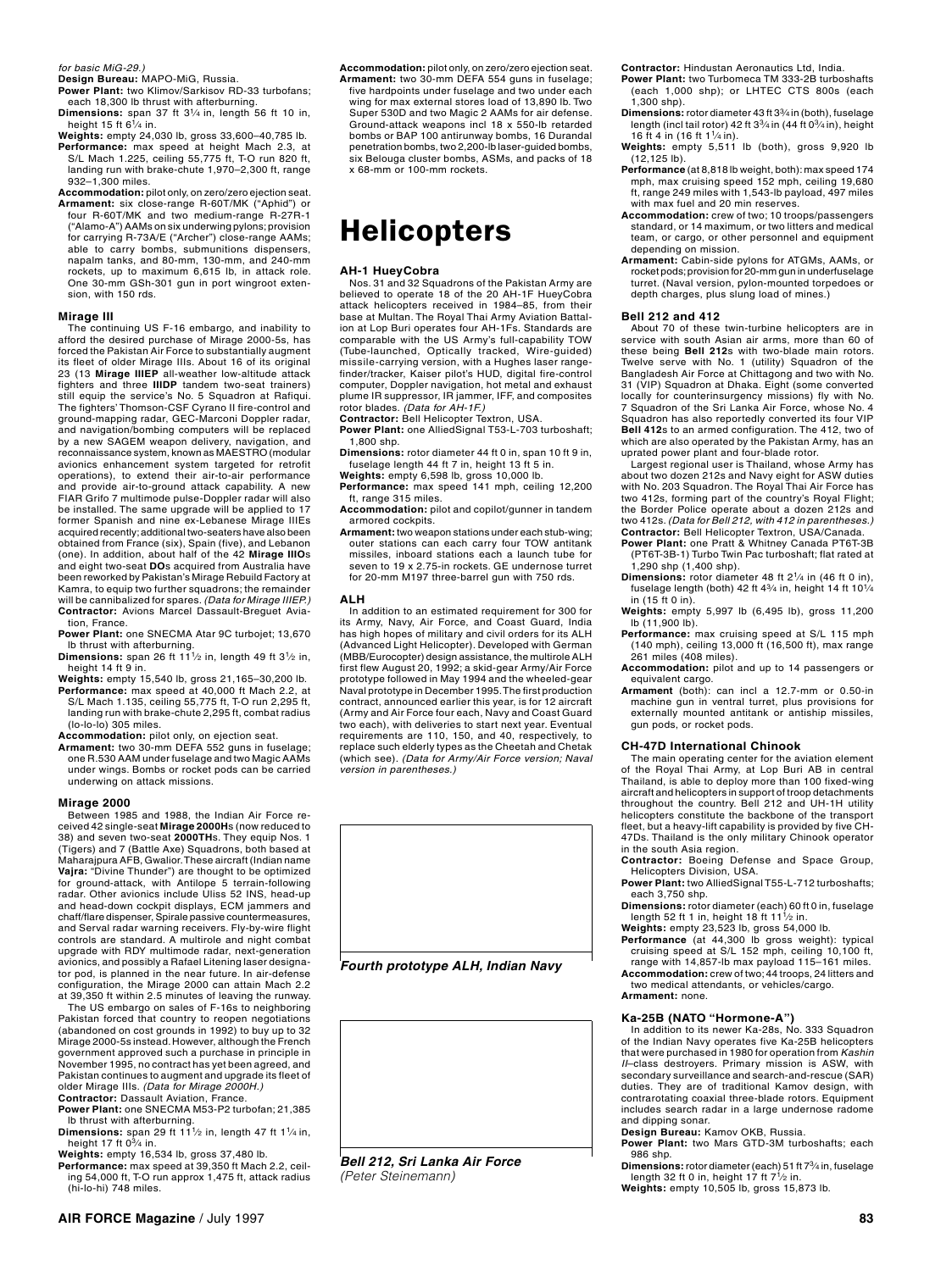*for basic MiG-29.)*

- **Design Bureau:** MAPO-MiG, Russia.
- **Power Plant:** two Klimov/Sarkisov RD‑33 turbofans; each 18,300 lb thrust with afterburning.
- **Dimensions:** span 37 ft 31⁄4 in, length 56 ft 10 in, height 15 ft  $6\frac{1}{4}$  in.
- **Weights:** empty 24,030 lb, gross 33,600–40,785 lb. Performance: max speed at height Mach 2.3, at S/L Mach 1.225, ceiling 55,775 ft, T-O run 820 ft, landing run with brake‑chute 1,970–2,300 ft, range 932–1,300 miles.
- **Accommodation:** pilot only, on zero/zero ejection seat. **Armament:** six close‑range R‑60T/MK ("Aphid") or four R-60T/MK and two medium-range R-27R-1 ("Alamo‑A") AAMs on six underwing pylons; provision for carrying R-73A/E ("Archer") close-range AAMs; able to carry bombs, submunitions dispensers, napalm tanks, and 80‑mm, 130‑mm, and 240‑mm rockets, up to maximum 6,615 lb, in attack role. One 30-mm GSh-301 gun in port wingroot extension, with 150 rds.

#### **Mirage III**

The continuing US F-16 embargo, and inability to afford the desired purchase of Mirage 2000-5s, has forced the Pakistan Air Force to substantially augment its fleet of older Mirage IIIs. About 16 of its original 23 (13 **Mirage IIIEP** all‑weather low‑altitude attack fighters and three **IIIDP** tandem two‑seat trainers) still equip the service's No. 5 Squadron at Rafiqui. The fighters' Thomson‑CSF Cyrano II fire‑control and ground-mapping radar, GEC‑Marconi Doppler radar, and navigation/bombing computers will be replaced by a new SAGEM weapon delivery, navigation, and reconnaissance system, known as Maestro (modular avionics enhancement system targeted for retrofit operations), to extend their air‑to‑air performance and provide air‑to‑ground attack capability. A new FIAR Grifo 7 multimode pulse-Doppler radar will also be installed. The same upgrade will be applied to 17 former Spanish and nine ex-Lebanese Mirage IIIEs acquired recently; additional two-seaters have also been obtained from France (six), Spain (five), and Lebanon (one). In addition, about half of the 42 **Mirage IIIO**s and eight two‑seat **DO**s acquired from Australia have been reworked by Pakistan's Mirage Rebuild Factory at Kamra, to equip two further squadrons; the remainder will be cannibalized for spares. *(Data for Mirage IIIEP.)* **Contractor:** Avions Marcel Dassault‑Breguet Avia‑ tion, France.

- **Power Plant:** one SNECMA Atar 9C turbojet; 13,670 lb thrust with afterburning. **Dimensions:** span 26 ft 111⁄2 in, length 49 ft 31⁄2 in,
- height 14 ft 9 in.
- **Weights:** empty 15,540 lb, gross 21,165–30,200 lb. **Performance:** max speed at 40,000 ft Mach 2.2, at S/L Mach 1.135, ceiling 55,775 ft, T‑O run 2,295 ft, landing run with brake‑chute 2,295 ft, combat radius (lo‑lo‑lo) 305 miles.
- 
- **Accommodation:** pilot only, on ejection seat. **Armament:** two 30‑mm DEFA 552 guns in fuselage; one R.530 AAM under fuselage and two Magic AAMs under wings. Bombs or rocket pods can be carried underwing on attack missions.

#### **Mirage 2000**

Between 1985 and 1988, the Indian Air Force re‑ ceived 42 single‑seat **Mirage 2000H**s (now reduced to 38) and seven two‑seat **2000TH**s. They equip Nos. 1 (Tigers) and 7 (Battle Axe) Squadrons, both based at Maharajpura AFB, Gwalior. These aircraft (Indian name **Vajra:** "Divine Thunder") are thought to be optimized for ground-attack, with Antilope 5 terrain-following radar. Other avionics include Uliss 52 INS, head‑up and head‑down cockpit displays, ECM jammers and chaff/flare dispenser, Spirale passive countermeasures, and Serval radar warning receivers. Fly‑by‑wire flight controls are standard. A multirole and night combat upgrade with RDY multimode radar, next-generation avionics, and possibly a Rafael Litening laser designa‑ tor pod, is planned in the near future. In air-defense configuration, the Mirage 2000 can attain Mach 2.2 at 39,350 ft within 2.5 minutes of leaving the runway.

The US embargo on sales of F-16s to neighboring Pakistan forced that country to reopen negotiations (abandoned on cost grounds in 1992) to buy up to 32 Mirage 2000-5s instead. However, although the French government approved such a purchase in principle in November 1995, no contract has yet been agreed, and Pakistan continues to augment and upgrade its fleet of older Mirage IIIs. *(Data for Mirage 2000H.)* **Contractor:** Dassault Aviation, France.

**Power Plant:** one SNECMA M53‑P2 turbofan; 21,385

- lb thrust with afterburning. **Dimensions:** span 29 ft 111⁄2 in, length 47 ft 11⁄4 in, height 17 ft  $0\frac{3}{4}$  in.
- 
- **Weights:** empty 16,534 lb, gross 37,480 lb. **Performance:** max speed at 39,350 ft Mach 2.2, ceil‑ ing 54,000 ft, T‑O run approx 1,475 ft, attack radius (hi-lo-hi) 748 miles.
- **Accommodation:** pilot only, on zero/zero ejection seat. **Armament:** two 30‑mm DEFA 554 guns in fuselage;
- five hardpoints under fuselage and two under each wing for max external stores load of 13,890 lb. Two Super 530D and two Magic 2 AAMs for air defense. Ground‑attack weapons incl 18 x 550‑lb retarded bombs or BAP 100 antirunway bombs, 16 Durandal penetration bombs, two 2,200-lb laser-guided bombs, six Belouga cluster bombs, ASMs, and packs of 18 x 68‑mm or 100‑mm rockets.

## **Helicopters**

#### **AH‑1 HueyCobra**

Nos. 31 and 32 Squadrons of the Pakistan Army are believed to operate 18 of the 20 AH-1F HueyCobra attack helicopters received in 1984–85, from their base at Multan. The Royal Thai Army Aviation Battalion at Lop Buri operates four AH-1Fs. Standards are comparable with the US Army's full-capability TOW (Tube-launched, Optically tracked, Wire-guided) missile-carrying version, with a Hughes laser range‑ finder/tracker, Kaiser pilot's HUD, digital fire‑control computer, Doppler navigation, hot metal and exhaust plume IR suppressor, IR jammer, IFF, and composites rotor blades. *(Data for AH-1F.)*

- **Contractor:** Bell Helicopter Textron, USA.
- **Power Plant:** one AlliedSignal T53‑L‑703 turboshaft; 1,800 shp.
- **Dimensions:** rotor diameter 44 ft 0 in, span 10 ft 9 in,
- fuselage length 44 ft 7 in, height 13 ft 5 in. **Weights:** empty 6,598 lb, gross 10,000 lb. **Performance:** max speed 141 mph, ceiling 12,200 ft, range 315 miles.
- **Accommodation:** pilot and copilot/gunner in tandem armored cockpits.
- **Armament:** two weapon stations under each stub-wing; outer stations can each carry four TOW antitank missiles, inboard stations each a launch tube for seven to 19 x 2.75‑in rockets. GE undernose turret for 20‑mm M197 three‑barrel gun with 750 rds.

#### **ALH**

In addition to an estimated requirement for 300 for its Army, Navy, Air Force, and Coast Guard, India has high hopes of military and civil orders for its ALH (Advanced Light Helicopter). Developed with German (MBB/Eurocopter) design assistance, the multirole ALH first flew August 20, 1992; a skid-gear Army/Air Force prototype followed in May 1994 and the wheeled-gear Naval prototype in December 1995. The first production contract, announced earlier this year, is for 12 aircraft (Army and Air Force four each, Navy and Coast Guard two each), with deliveries to start next year. Eventual requirements are 110, 150, and 40, respectively, to replace such elderly types as the Cheetah and Chetak (which see). *(Data for Army/Air Force version; Naval version in parentheses.)*





*Bell 212, Sri Lanka Air Force (Peter Steinemann)*

**Contractor:** Hindustan Aeronautics Ltd, India.

- **Power Plant:** two Turbomeca TM 333-2B turboshafts (each 1,000 shp); or LHTEC CTS 800s (each  $1,300$  shp).
- **Dimensions:** rotor diameter 43 ft 33⁄4 in (both), fuselage length (incl tail rotor) 42 ft 33⁄4 in (44 ft 03⁄4 in), height 16 ft 4 in (16 ft 11⁄4 in).
- **Weights:** empty 5,511 lb (both), gross 9,920 lb (12,125 lb).
- **Performance** (at 8,818 lb weight, both): max speed 174 mph, max cruising speed 152 mph, ceiling 19,680 ft, range 249 miles with 1,543-lb payload, 497 miles with max fuel and 20 min reserves.
- **Accommodation:** crew of two; 10 troops/passengers standard, or 14 maximum, or two litters and medical team, or cargo, or other personnel and equipment depending on mission.
- **Armament:** Cabin-side pylons for ATGMs, AAMs, or rocket pods; provision for 20-mm gun in underfuselage turret. (Naval version, pylon-mounted torpedoes or depth charges, plus slung load of mines.)

#### **Bell 212 and 412**

About 70 of these twin-turbine helicopters are in service with south Asian air arms, more than 60 of these being **Bell 212**s with two-blade main rotors. Twelve serve with No. 1 (utility) Squadron of the Bangladesh Air Force at Chittagong and two with No. 31 (VIP) Squadron at Dhaka. Eight (some converted locally for counterinsurgency missions) fly with No. 7 Squadron of the Sri Lanka Air Force, whose No. 4 Squadron has also reportedly converted its four VIP **Bell 412**s to an armed configuration. The 412, two of which are also operated by the Pakistan Army, has an uprated power plant and four-blade rotor.

Largest regional user is Thailand, whose Army has about two dozen 212s and Navy eight for ASW duties with No. 203 Squadron. The Royal Thai Air Force has two 412s, forming part of the country's Royal Flight; the Border Police operate about a dozen 212s and two 412s. *(Data for Bell 212, with 412 in parentheses.)*

- **Contractor:** Bell Helicopter Textron, USA/Canada. **Power Plant:** one Pratt & Whitney Canada PT6T‑3B (PT6T‑3B‑1) Turbo Twin Pac turboshaft; flat rated at 1,290 shp (1,400 shp).
- **Dimensions:** rotor diameter 48 ft 21⁄4 in (46 ft 0 in), fuselage length (both) 42 ft  $4\frac{3}{4}$  in, height 14 ft 10 $\frac{1}{4}$ in (15 ft 0 in).
- **Weights:** empty 5,997 lb (6,495 lb), gross 11,200 lb (11,900 lb).
- **Performance:** max cruising speed at S/L 115 mph (140 mph), ceiling 13,000 ft (16,500 ft), max range 261 miles (408 miles).
- **Accommodation:** pilot and up to 14 passengers or equivalent cargo.
- **Armament** (both): can incl a 12.7‑mm or 0.50‑in machine gun in ventral turret, plus provisions for externally mounted antitank or antiship missiles, gun pods, or rocket pods.

#### **CH-47D International Chinook**

The main operating center for the aviation element of the Royal Thai Army, at Lop Buri AB in central Thailand, is able to deploy more than 100 fixed-wing aircraft and helicopters in support of troop detachments throughout the country. Bell 212 and UH-1H utility helicopters constitute the backbone of the transport fleet, but a heavy-lift capability is provided by five CH-47Ds. Thailand is the only military Chinook operator in the south Asia region.

**Contractor:** Boeing Defense and Space Group, Helicopters Division, USA.

**Power Plant:** two AlliedSignal T55-L-712 turboshafts; each 3,750 shp.

**Dimensions:** rotor diameter (each) 60 ft 0 in, fuselage length 52 ft 1 in, height 18 ft 111⁄2 in. **Weights:** empty 23,523 lb, gross 54,000 lb.

**Performance** (at 44,300 lb gross weight): typical cruising speed at S/L 152 mph, ceiling 10,100 ft, range with 14,857-lb max payload 115–161 miles. **Accommodation:** crew of two; 44 troops, 24 litters and two medical attendants, or vehicles/cargo. **Armament:** none.

#### **Ka‑25B (NATO "Hormone‑A")**

In addition to its newer Ka-28s, No. 333 Squadron of the Indian Navy operates five Ka‑25B helicopters that were purchased in 1980 for operation from *Kashin II*–class destroyers. Primary mission is ASW, with secondary surveillance and search‑and‑rescue (SAR) duties. They are of traditional Kamov design, with contrarotating coaxial three-blade rotors. Equipment includes search radar in a large undernose radome and dipping sonar. **Design Bureau:** Kamov OKB, Russia.

**Power Plant:** two Mars GTD‑3M turboshafts; each 986 shp. **Dimensions:** rotor diameter (each) 51 ft 73⁄4 in, fuselage

length 32 ft 0 in, height 17 ft  $7^{1/2}$  in. **Weights:** empty 10,505 lb, gross 15,873 lb.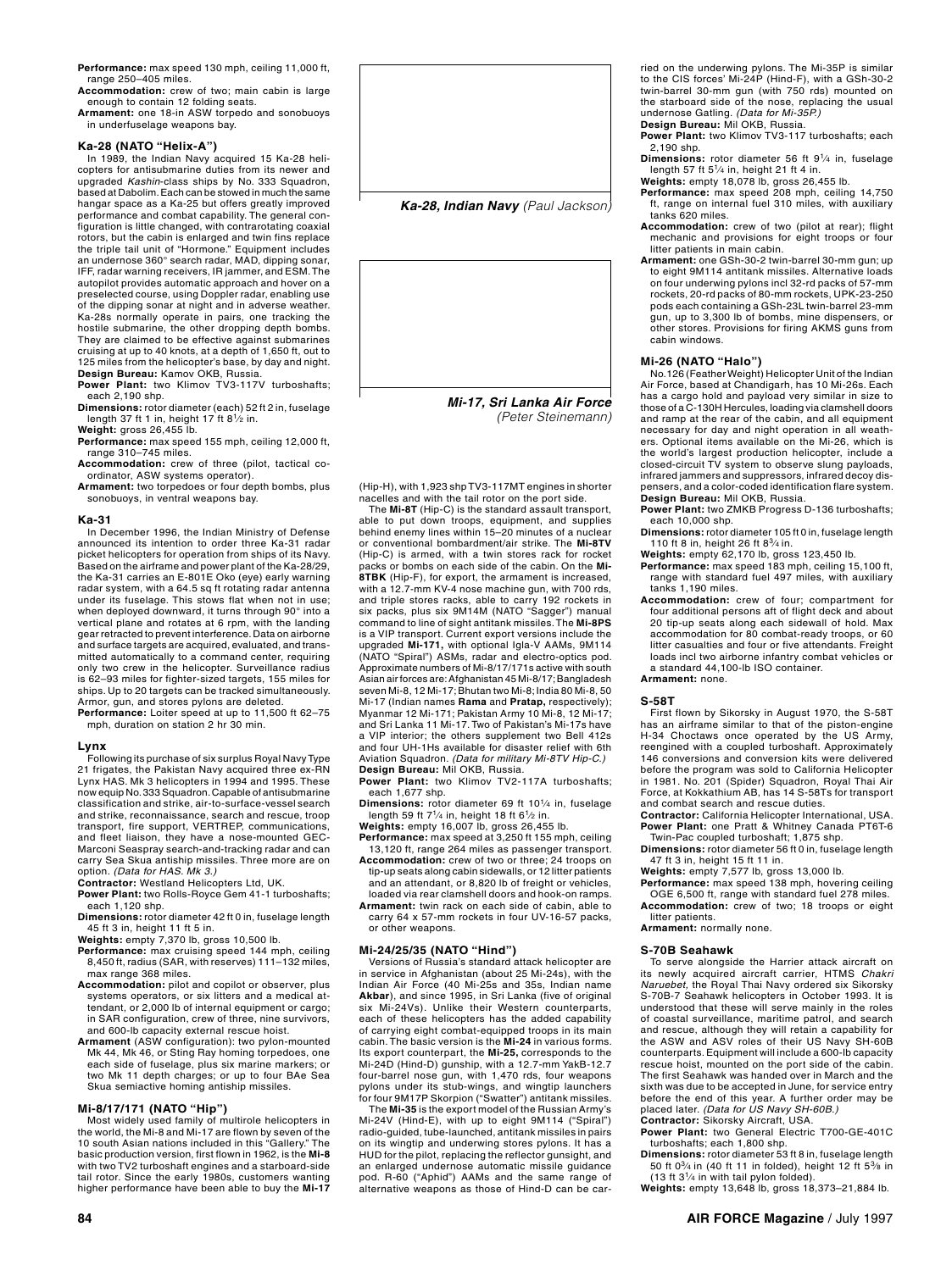**Performance:** max speed 130 mph, ceiling 11,000 ft, range 250–405 miles.

**Accommodation:** crew of two; main cabin is large enough to contain 12 folding seats.

**Armament:** one 18‑in ASW torpedo and sonobuoys in underfuselage weapons bay.

#### **Ka‑28 (NATO "Helix‑A")**

In 1989, the Indian Navy acquired 15 Ka-28 heli-copters for antisubmarine duties from its newer and upgraded *Kashin*‑class ships by No. 333 Squadron, based at Dabolim. Each can be stowed in much the same<br>hangar space as a Ka-25 but offers greatly improved<br>performance and combat capability. The general configuration is little changed, with contrarotating coaxial rotors, but the cabin is enlarged and twin fins replace the triple tail unit of "Hormone." Equipment includes an undernose 360° search radar, MAD, dipping sonar, IFF, radar warning receivers, IR jammer, and ESM. The autopilot provides automatic approach and hover on a preselected course, using Doppler radar, enabling use of the dipping sonar at night and in adverse weather. Ka-28s normally operate in pairs, one tracking the hostile submarine, the other dropping depth bombs. They are claimed to be effective against submarines cruising at up to 40 knots, at a depth of 1,650 ft, out to 125 miles from the helicopter's base, by day and night. **Design Bureau:** Kamov OKB, Russia. Power Plant: two Klimov TV3-117V turboshafts;

each 2,190 shp. **Dimensions:** rotor diameter (each) 52 ft 2 in, fuselage

length 37 ft 1 in, height 17 ft 81⁄2 in. **Weight:** gross 26,455 lb.

**Performance:** max speed 155 mph, ceiling 12,000 ft, range 310–745 miles.

**Accommodation:** crew of three (pilot, tactical coordinator, ASW systems operator).

**Armament:** two torpedoes or four depth bombs, plus sonobuoys, in ventral weapons bay.

#### **Ka-31**

In December 1996, the Indian Ministry of Defense announced its intention to order three Ka-31 radar picket helicopters for operation from ships of its Navy. Based on the airframe and power plant of the Ka-28/29, the Ka-31 carries an E-801E Oko (eye) early warning radar system, with a 64.5 sq ft rotating radar antenna under its fuselage. This stows flat when not in use; when deployed downward, it turns through 90° into a vertical plane and rotates at 6 rpm, with the landing gear retracted to prevent interference. Data on airborne and surface targets are acquired, evaluated, and transmitted automatically to a command center, requiring only two crew in the helicopter. Surveillance radius is 62–93 miles for fighter-sized targets, 155 miles for ships. Up to 20 targets can be tracked simultaneously. Armor, gun, and stores pylons are deleted.

**Performance:** Loiter speed at up to 11,500 ft 62–75 mph, duration on station 2 hr 30 min.

**Lynx** Following its purchase of six surplus Royal Navy Type 21 frigates, the Pakistan Navy acquired three ex-RN Lynx HAS. Mk 3 helicopters in 1994 and 1995. These now equip No. 333 Squadron. Capable of antisubmarine classification and strike, air-to-surface-vessel search and strike, reconnaissance, search and rescue, troop transport, fire support, VERTREP, communications, and fleet liaison, they have a nose-mounted GEC-Marconi Seaspray search-and-tracking radar and can carry Sea Skua antiship missiles. Three more are on option. *(Data for HAS. Mk 3.)*

**Contractor:** Westland Helicopters Ltd, UK.

**Power Plant:** two Rolls-Royce Gem 41-1 turboshafts; each 1,120 shp.

**Dimensions:** rotor diameter 42 ft 0 in, fuselage length 45 ft 3 in, height 11 ft 5 in.

**Weights:** empty 7,370 lb, gross 10,500 lb.

- **Performance:** max cruising speed 144 mph, ceiling 8,450 ft, radius (SAR, with reserves) 111–132 miles, max range 368 miles.
- Accommodation: pilot and copilot or observer, plus systems operators, or six litters and a medical attendant, or 2,000 lb of internal equipment or cargo; in SAR configuration, crew of three, nine survivors, and 600-lb capacity external rescue hoist.
- **Armament** (ASW configuration): two pylon-mounted Mk 44, Mk 46, or Sting Ray homing torpedoes, one each side of fuselage, plus six marine markers; or two Mk 11 depth charges; or up to four BAe Sea Skua semiactive homing antiship missiles.

#### **Mi‑8/17/171 (NATO "Hip")**

Most widely used family of multirole helicopters in the world, the Mi-8 and Mi-17 are flown by seven of the 10 south Asian nations included in this "Gallery." The basic production version, first flown in 1962, is the **Mi-8** with two TV2 turboshaft engines and a starboard‑side tail rotor. Since the early 1980s, customers wanting higher performance have been able to buy the **Mi‑17** 



*(Peter Steinemann)*

(Hip‑H), with 1,923 shp TV3‑117MT engines in shorter nacelles and with the tail rotor on the port side.

The **Mi‑8T** (Hip‑C) is the standard assault transport, able to put down troops, equipment, and supplies behind enemy lines within 15–20 minutes of a nuclear or conventional bombardment/air strike. The **Mi‑8TV** (Hip‑C) is armed, with a twin stores rack for rocket packs or bombs on each side of the cabin. On the **Mi-8TBK** (Hip-F), for export, the armament is increased, with a 12.7-mm KV-4 nose machine gun, with 700 rds, and triple stores racks, able to carry 192 rockets in six packs, plus six 9M14M (NATO "Sagger") manual command to line of sight antitank missiles. The **Mi-8PS** is a VIP transport. Current export versions include the<br>upgraded **Mi-171,** with optional Igla-V AAMs, 9M114<br>(NATO "Spiral") ASMs, radar and electro-optics pod. Approximate numbers of Mi‑8/17/171s active with south Asian air forces are: Afghanistan 45 Mi-8/17; Bangladesh seven Mi-8, 12 Mi-17; Bhutan two Mi-8; India 80 Mi-8, 50 Mi-17 (Indian names **Rama** and **Pratap,** respectively); Myanmar 12 Mi-171; Pakistan Army 10 Mi-8, 12 Mi-17; and Sri Lanka 11 Mi-17. Two of Pakistan's Mi-17s have a VIP interior; the others supplement two Bell 412s and four UH-1Hs available for disaster relief with 6th Aviation Squadron. *(Data for military Mi-8TV Hip-C.)*

**Design Bureau:** Mil OKB, Russia. **Power Plant:** two Klimov TV2‑117A turboshafts; each 1,677 shp.

**Dimensions:** rotor diameter 69 ft 101⁄4 in, fuselage length 59 ft 71⁄4 in, height 18 ft 61⁄2 in. **Weights:** empty 16,007 lb, gross 26,455 lb.

**Performance:** max speed at 3,250 ft 155 mph, ceiling

13,120 ft, range 264 miles as passenger transport. **Accommodation:** crew of two or three; 24 troops on

tip‑up seats along cabin sidewalls, or 12 litter patients and an attendant, or 8,820 lb of freight or vehicles, loaded via rear clamshell doors and hook‑on ramps.

**Armament:** twin rack on each side of cabin, able to carry 64 x 57‑mm rockets in four UV-16-57 packs, or other weapons.

### **Mi‑24/25/35 (NATO "Hind")**

Versions of Russia's standard attack helicopter are in service in Afghanistan (about 25 Mi-24s), with the Indian Air Force (40 Mi-25s and 35s, Indian name **Akbar**), and since 1995, in Sri Lanka (five of original six Mi-24Vs). Unlike their Western counterparts, each of these helicopters has the added capability of carrying eight combat-equipped troops in its main cabin. The basic version is the **Mi-24** in various forms. Its export counterpart, the **Mi-25,** corresponds to the Mi‑24D (Hind‑D) gunship, with a 12.7‑mm YakB-12.7 four-barrel nose gun, with 1,470 rds, four weapons pylons under its stub-wings, and wingtip launchers for four 9M17P Skorpion ("Swatter") antitank missiles.

The **Mi‑35** is the export model of the Russian Army's Mi‑24V (Hind‑E), with up to eight 9M114 ("Spiral") radio‑guided, tube‑launched, antitank missiles in pairs on its wingtip and underwing stores pylons. It has a HUD for the pilot, replacing the reflector gunsight, and an enlarged undernose automatic missile guidance pod. R‑60 ("Aphid") AAMs and the same range of alternative weapons as those of Hind‑D can be car‑

ried on the underwing pylons. The Mi‑35P is similar to the CIS forces' Mi‑24P (Hind‑F), with a GSh‑30‑2 twin‑barrel 30‑mm gun (with 750 rds) mounted on the starboard side of the nose, replacing the usual undernose Gatling. *(Data for Mi-35P.)* **Design Bureau:** Mil OKB, Russia.

**Power Plant:** two Klimov TV3‑117 turboshafts; each 2,190 shp.

**Dimensions:** rotor diameter 56 ft 91⁄4 in, fuselage length 57 ft 51⁄4 in, height 21 ft 4 in. **Weights:** empty 18,078 lb, gross 26,455 lb.

**Performance:** max speed 208 mph, ceiling 14,750 ft, range on internal fuel 310 miles, with auxiliary tanks 620 miles.

- **Accommodation:** crew of two (pilot at rear); flight mechanic and provisions for eight troops or four litter patients in main cabin.
- **Armament:** one GSh‑30‑2 twin‑barrel 30‑mm gun; up to eight 9M114 antitank missiles. Alternative loads on four underwing pylons incl 32‑rd packs of 57‑mm rockets, 20‑rd packs of 80‑mm rockets, UPK‑23-250 pods each containing a GSh‑23L twin‑barrel 23‑mm gun, up to 3,300 lb of bombs, mine dispensers, or other stores. Provisions for firing AKMS guns from cabin windows.

**Mi‑26 (NATO "Halo")** No.126 (Feather Weight) Helicopter Unit of the Indian Air Force, based at Chandigarh, has 10 Mi-26s. Each has a cargo hold and payload very similar in size to those of a C‑130H Hercules, loading via clamshell doors and ramp at the rear of the cabin, and all equipment necessary for day and night operation in all weath‑ ers. Optional items available on the Mi-26, which is the world's largest production helicopter, include a closed-circuit TV system to observe slung payloads, infrared jammers and suppressors, infrared decoy dis‑ pensers, and a color‑coded identification flare system.

**Design Bureau:** Mil OKB, Russia. **Power Plant:** two ZMKB Progress D‑136 turboshafts; each 10,000 shp.

**Dimensions:** rotor diameter 105 ft 0 in, fuselage length 110 ft 8 in, height 26 ft 83⁄4 in. **Weights:** empty 62,170 lb, gross 123,450 lb.

**Performance:** max speed 183 mph, ceiling 15,100 ft, range with standard fuel 497 miles, with auxiliary tanks 1,190 miles.

**Accommodation:** crew of four; compartment for four additional persons aft of flight deck and about 20 tip‑up seats along each sidewall of hold. Max accommodation for 80 combat-ready troops, or 60 litter casualties and four or five attendants. Freight loads incl two airborne infantry combat vehicles or a standard 44,100-lb ISO container.

#### **Armament:** none.

#### **S-58T**

First flown by Sikorsky in August 1970, the S-58T has an airframe similar to that of the piston-engine H-34 Choctaws once operated by the US Army, reengined with a coupled turboshaft. Approximately 146 conversions and conversion kits were delivered before the program was sold to California Helicopter in 1981. No. 201 (Spider) Squadron, Royal Thai Air Force, at Kokkathium AB, has 14 S-58Ts for transport and combat search and rescue duties.

**Contractor:** California Helicopter International, USA. **Power Plant:** one Pratt & Whitney Canada PT6T-6

Twin-Pac coupled turboshaft; 1,875 shp. **Dimensions:** rotor diameter 56 ft 0 in, fuselage length 47 ft 3 in, height 15 ft 11 in.

**Weights:** empty 7,577 lb, gross 13,000 lb. **Performance:** max speed 138 mph, hovering ceiling OGE 6,500 ft, range with standard fuel 278 miles.

**Accommodation:** crew of two; 18 troops or eight litter patients. **Armament:** normally none.

#### **S-70B Seahawk**

To serve alongside the Harrier attack aircraft on its newly acquired aircraft carrier, HTMS *Chakri Naruebet,* the Royal Thai Navy ordered six Sikorsky S-70B-7 Seahawk helicopters in October 1993. It is understood that these will serve mainly in the roles of coastal surveillance, maritime patrol, and search and rescue, although they will retain a capability for the ASW and ASV roles of their US Navy SH-60B counterparts. Equipment will include a 600-lb capacity rescue hoist, mounted on the port side of the cabin. The first Seahawk was handed over in March and the sixth was due to be accepted in June, for service entry before the end of this year. A further order may be placed later. *(Data for US Navy SH-60B.)*

**Contractor:** Sikorsky Aircraft, USA. **Power Plant:** two General Electric T700-GE-401C turboshafts; each 1,800 shp.

**Dimensions:** rotor diameter 53 ft 8 in, fuselage length 50 ft 0<sup>3</sup>/4 in (40 ft 11 in folded), height 12 ft 5<sup>3</sup>/<sub>8</sub> in

(13 ft 31⁄4 in with tail pylon folded). **Weights:** empty 13,648 lb, gross 18,373–21,884 lb.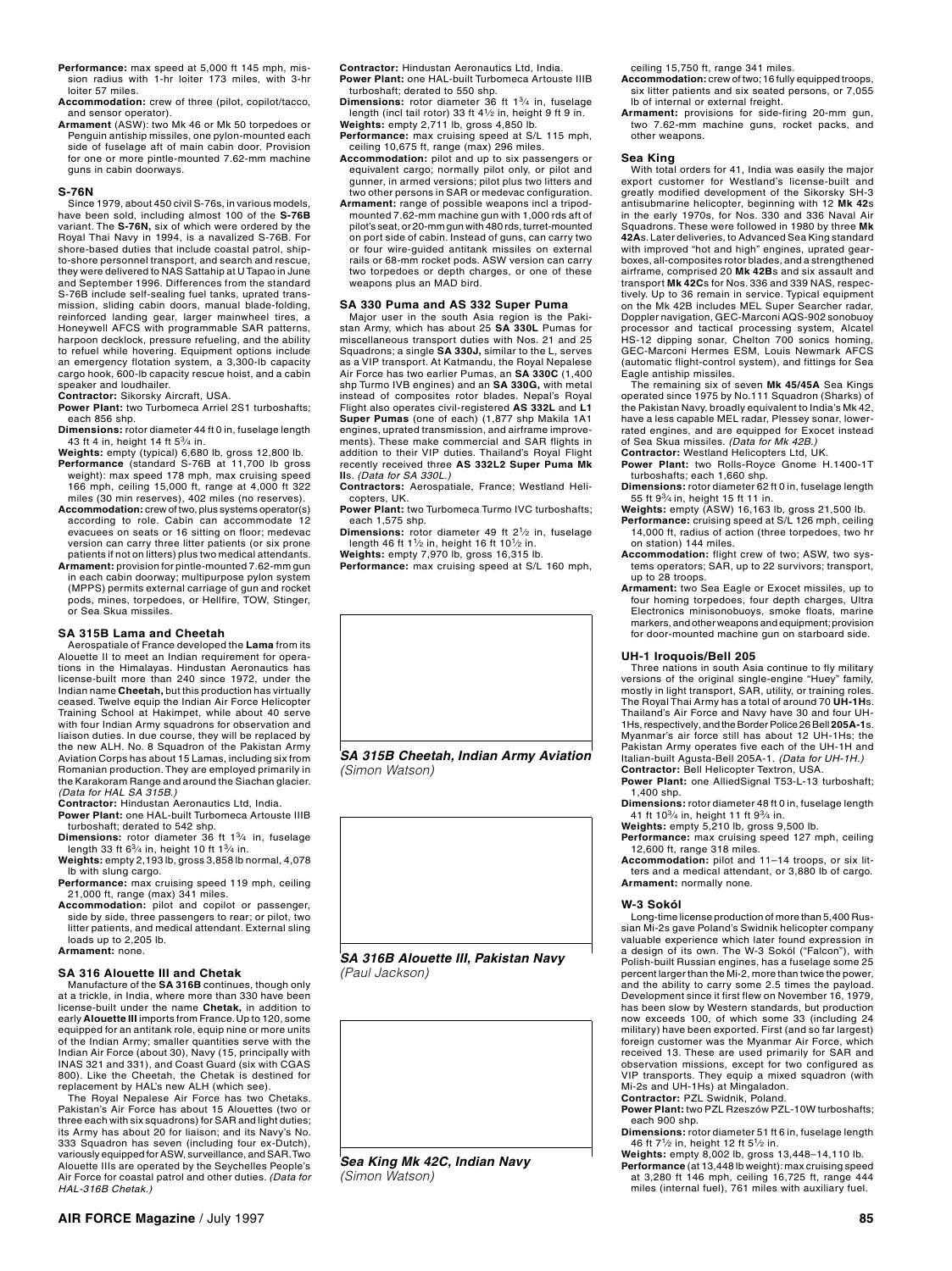- Performance: max speed at 5,000 ft 145 mph, mission radius with 1-hr loiter 173 miles, with 3-hr loiter 57 miles.
- **Accommodation:** crew of three (pilot, copilot/tacco, and sensor operator).
- **Armament** (ASW): two Mk 46 or Mk 50 torpedoes or Penguin antiship missiles, one pylon-mounted each side of fuselage aft of main cabin door. Provision for one or more pintle-mounted 7.62-mm machine guns in cabin doorways.

#### **S-76N**

Since 1979, about 450 civil S-76s, in various models, have been sold, including almost 100 of the **S-76B**  variant. The **S-76N,** six of which were ordered by the Royal Thai Navy in 1994, is a navalized S-76B. For shore-based duties that include coastal patrol, shipto-shore personnel transport, and search and rescue, they were delivered to NAS Sattahip at U Tapao in June and September 1996. Differences from the standard S-76B include self-sealing fuel tanks, uprated transmission, sliding cabin doors, manual blade-folding, reinforced landing gear, larger mainwheel tires, a Honeywell AFCS with programmable SAR patterns, harpoon decklock, pressure refueling, and the ability to refuel while hovering. Equipment options include an emergency flotation system, a 3,300-lb capacity cargo hook, 600-lb capacity rescue hoist, and a cabin speaker and loudhailer.

**Contractor:** Sikorsky Aircraft, USA. **Power Plant:** two Turbomeca Arriel 2S1 turboshafts;

each 856 shp.

**Dimensions:** rotor diameter 44 ft 0 in, fuselage length 43 ft 4 in, height 14 ft 53⁄4 in. **Weights:** empty (typical) 6,680 lb, gross 12,800 lb.

- **Performance** (standard S-76B at 11,700 lb gross weight): max speed 178 mph, max cruising speed 166 mph, ceiling 15,000 ft, range at 4,000 ft 322 miles (30 min reserves), 402 miles (no reserves).
- **Accommodation:** crew of two, plus systems operator(s) according to role. Cabin can accommodate 12 evacuees on seats or 16 sitting on floor; medevac version can carry three litter patients (or six prone patients if not on litters) plus two medical attendants.
- **Armament:** provision for pintle-mounted 7.62-mm gun in each cabin doorway; multipurpose pylon system (MPPS) permits external carriage of gun and rocket pods, mines, torpedoes, or Hellfire, TOW, Stinger, or Sea Skua missiles.

#### **SA 315B Lama and Cheetah**

Aerospatiale of France developed the **Lama** from its Alouette II to meet an Indian requirement for operations in the Himalayas. Hindustan Aeronautics has license-built more than 240 since 1972, under the Indian name **Cheetah,** but this production has virtually ceased. Twelve equip the Indian Air Force Helicopter Training School at Hakimpet, while about 40 serve with four Indian Army squadrons for observation and liaison duties. In due course, they will be replaced by the new ALH. No. 8 Squadron of the Pakistan Army Aviation Corps has about 15 Lamas, including six from Romanian production. They are employed primarily in the Karakoram Range and around the Siachan glacier. *(Data for HAL SA 315B.)*

**Contractor:** Hindustan Aeronautics Ltd, India. **Power Plant:** one HAL‑built Turbomeca Artouste IIIB

- turboshaft; derated to 542 shp. **Dimensions:** rotor diameter 36 ft 13⁄4 in, fuselage
- length 33 ft 63⁄4 in, height 10 ft 13⁄4 in. **Weights:** empty 2,193 lb, gross 3,858 lb normal, 4,078

lb with slung cargo. Performance: max cruising speed 119 mph, ceiling 21,000 ft, range (max) 341 miles.

**Accommodation:** pilot and copilot or passenger, side by side, three passengers to rear; or pilot, two litter patients, and medical attendant. External sling loads up to 2,205 lb. **Armament:** none.

#### **SA 316 Alouette III and Chetak**

Manufacture of the **SA 316B** continues, though only at a trickle, in India, where more than 330 have been license-built under the name **Chetak,** in addition to early **Alouette III** imports from France. Up to 120, some equipped for an antitank role, equip nine or more units of the Indian Army; smaller quantities serve with the Indian Air Force (about 30), Navy (15, principally with INAS 321 and 331), and Coast Guard (six with CGAS 800). Like the Cheetah, the Chetak is destined for

replacement by HAL's new ALH (which see). The Royal Nepalese Air Force has two Chetaks. Pakistan's Air Force has about 15 Alouettes (two or three each with six squadrons) for SAR and light duties; its Army has about 20 for liaison; and its Navy's No. 333 Squadron has seven (including four ex-Dutch), variously equipped for ASW, surveillance, and SAR. Two Alouette IIIs are operated by the Seychelles People's Air Force for coastal patrol and other duties. *(Data for HAL-316B Chetak.)*

**Contractor:** Hindustan Aeronautics Ltd, India. **Power Plant:** one HAL-built Turbomeca Artouste IIIB

- turboshaft; derated to 550 shp. **Dimensions:** rotor diameter 36 ft 13⁄4 in, fuselage length (incl tail rotor) 33 ft  $4\frac{1}{2}$  in, height 9 ft 9 in.
- **Weights:** empty 2,711 lb, gross 4,850 lb. **Performance:** max cruising speed at S/L 115 mph, ceiling 10,675 ft, range (max) 296 miles.
- **Accommodation:** pilot and up to six passengers or equivalent cargo; normally pilot only, or pilot and gunner, in armed versions; pilot plus two litters and
- two other persons in SAR or medevac configuration. **Armament:** range of possible weapons incl a tripodmounted 7.62‑mm machine gun with 1,000 rds aft of pilot's seat, or 20-mm gun with 480 rds, turret-mounted on port side of cabin. Instead of guns, can carry two or four wire‑guided antitank missiles on external rails or 68‑mm rocket pods. ASW version can carry two torpedoes or depth charges, or one of these weapons plus an MAD bird.

#### **SA 330 Puma and AS 332 Super Puma**

Major user in the south Asia region is the Pakistan Army, which has about 25 **SA 330L** Pumas for miscellaneous transport duties with Nos. 21 and 25 Squadrons; a single **SA 330J,** similar to the L, serves as a VIP transport. At Katmandu, the Royal Nepalese Air Force has two earlier Pumas, an **SA 330C** (1,400 shp Turmo IVB engines) and an **SA 330G,** with metal instead of composites rotor blades. Nepal's Royal Flight also operates civil-registered **AS 332L** and **L1 Super Pumas** (one of each) (1,877 shp Makila 1A1 engines, uprated transmission, and airframe improvements). These make commercial and SAR flights in addition to their VIP duties. Thailand's Royal Flight recently received three **AS 332L2 Super Puma Mk II**s. *(Data for SA 330L.)*

- **Contractors:** Aerospatiale, France; Westland Heli‑ copters, UK.
- **Power Plant:** two Turbomeca Turmo IVC turboshafts; each 1,575 shp.
- **Dimensions:** rotor diameter 49 ft 21⁄2 in, fuselage length 46 ft 11⁄2 in, height 16 ft 101⁄2 in.
- **Weights:** empty 7,970 lb, gross 16,315 lb.
- **Performance:** max cruising speed at S/L 160 mph,



*SA 315B Cheetah, Indian Army Aviation (Simon Watson)*



*(Paul Jackson)*



*Sea King Mk 42C, Indian Navy (Simon Watson)*

ceiling 15,750 ft, range 341 miles.

- **Accommodation:** crew of two; 16 fully equipped troops, six litter patients and six seated persons, or 7,055 lb of internal or external freight.
- **Armament:** provisions for side‑firing 20‑mm gun, two 7.62‑mm machine guns, rocket packs, and other weapons.

**Sea King** With total orders for 41, India was easily the major export customer for Westland's license-built and greatly modified development of the Sikorsky SH‑3 antisubmarine helicopter, beginning with 12 **Mk 42**s in the early 1970s, for Nos. 330 and 336 Naval Air Squadrons. These were followed in 1980 by three **Mk 42A**s. Later deliveries, to Advanced Sea King standard with improved "hot and high" engines, uprated gearboxes, all-composites rotor blades, and a strengthened airframe, comprised 20 **Mk 42B**s and six assault and transport **Mk 42C**s for Nos. 336 and 339 NAS, respec‑ tively. Up to 36 remain in service. Typical equipment on the Mk 42B includes MEL Super Searcher radar, Doppler navigation, GEC-Marconi AQS‑902 sonobuoy processor and tactical processing system, Alcatel<br>HS-12 dipping sonar, Chelton 700 sonics homing,<br>GEC-Marconi Hermes ESM, Louis Newmark AFCS (automatic flight-control system), and fittings for Sea Eagle antiship missiles.

The remaining six of seven **Mk 45/45A** Sea Kings operated since 1975 by No.111 Squadron (Sharks) of the Pakistan Navy, broadly equivalent to India's Mk 42, have a less capable MEL radar, Plessey sonar, lowerrated engines, and are equipped for Exocet instead of Sea Skua missiles. *(Data for Mk 42B.)* **Contractor:** Westland Helicopters Ltd, UK.

**Power Plant:** two Rolls‑Royce Gnome H.1400‑1T

- turboshafts; each 1,660 shp. **Dimensions:** rotor diameter 62 ft 0 in, fuselage length
- 55 ft 93⁄4 in, height 15 ft 11 in.
- **Weights:** empty (ASW) 16,163 lb, gross 21,500 lb. **Performance:** cruising speed at S/L 126 mph, ceiling 14,000 ft, radius of action (three torpedoes, two hr on station) 144 miles.
- **Accommodation:** flight crew of two; ASW, two sys‑ tems operators; SAR, up to 22 survivors; transport, up to 28 troops.
- **Armament:** two Sea Eagle or Exocet missiles, up to four homing torpedoes, four depth charges, Ultra Electronics minisonobuoys, smoke floats, marine markers, and other weapons and equipment; provision for door-mounted machine gun on starboard side.

#### **UH‑1 Iroquois/Bell 205**

Three nations in south Asia continue to fly military versions of the original single-engine "Huey" family, mostly in light transport, SAR, utility, or training roles. The Royal Thai Army has a total of around 70 **UH-1H**s. Thailand's Air Force and Navy have 30 and four UH-1Hs, respectively, and the Border Police 26 Bell **205A-1**s. Myanmar's air force still has about 12 UH-1Hs; the Pakistan Army operates five each of the UH-1H and Italian-built Agusta-Bell 205A-1. *(Data for UH-1H.)* **Contractor:** Bell Helicopter Textron, USA.

**Power Plant:** one AlliedSignal T53‑L‑13 turboshaft; 1,400 shp.

**Dimensions:** rotor diameter 48 ft 0 in, fuselage length

41 ft 103⁄4 in, height 11 ft 93⁄4 in. **Weights:** empty 5,210 lb, gross 9,500 lb.

**Performance:** max cruising speed 127 mph, ceiling 12,600 ft, range 318 miles. **Accommodation:** pilot and 11–14 troops, or six lit‑

ters and a medical attendant, or 3,880 lb of cargo. **Armament:** normally none.

#### **W‑3 Sokól**

Long-time license production of more than 5,400 Rus‑ sian Mi‑2s gave Poland's Swidnik helicopter company valuable experience which later found expression in a design of its own. The W‑3 Sokól ("Falcon"), with Polish‑built Russian engines, has a fuselage some 25 percent larger than the Mi-2, more than twice the power, and the ability to carry some 2.5 times the payload. Development since it first flew on November 16, 1979, has been slow by Western standards, but production now exceeds 100, of which some 33 (including 24 military) have been exported. First (and so far largest) foreign customer was the Myanmar Air Force, which received 13. These are used primarily for SAR and observation missions, except for two configured as VIP transports. They equip a mixed squadron (with Mi-2s and UH-1Hs) at Mingaladon. **Contractor:** PZL Swidnik, Poland.

**Power Plant:** two PZL Rzeszów PZL‑10W turboshafts;

- each 900 shp. **Dimensions:** rotor diameter 51 ft 6 in, fuselage length
- 46 ft 71⁄2 in, height 12 ft 51⁄2 in.
- **Weights:** empty 8,002 lb, gross 13,448–14,110 lb. **Performance** (at 13,448 lb weight): max cruising speed at 3,280 ft 146 mph, ceiling 16,725 ft, range 444 miles (internal fuel), 761 miles with auxiliary fuel.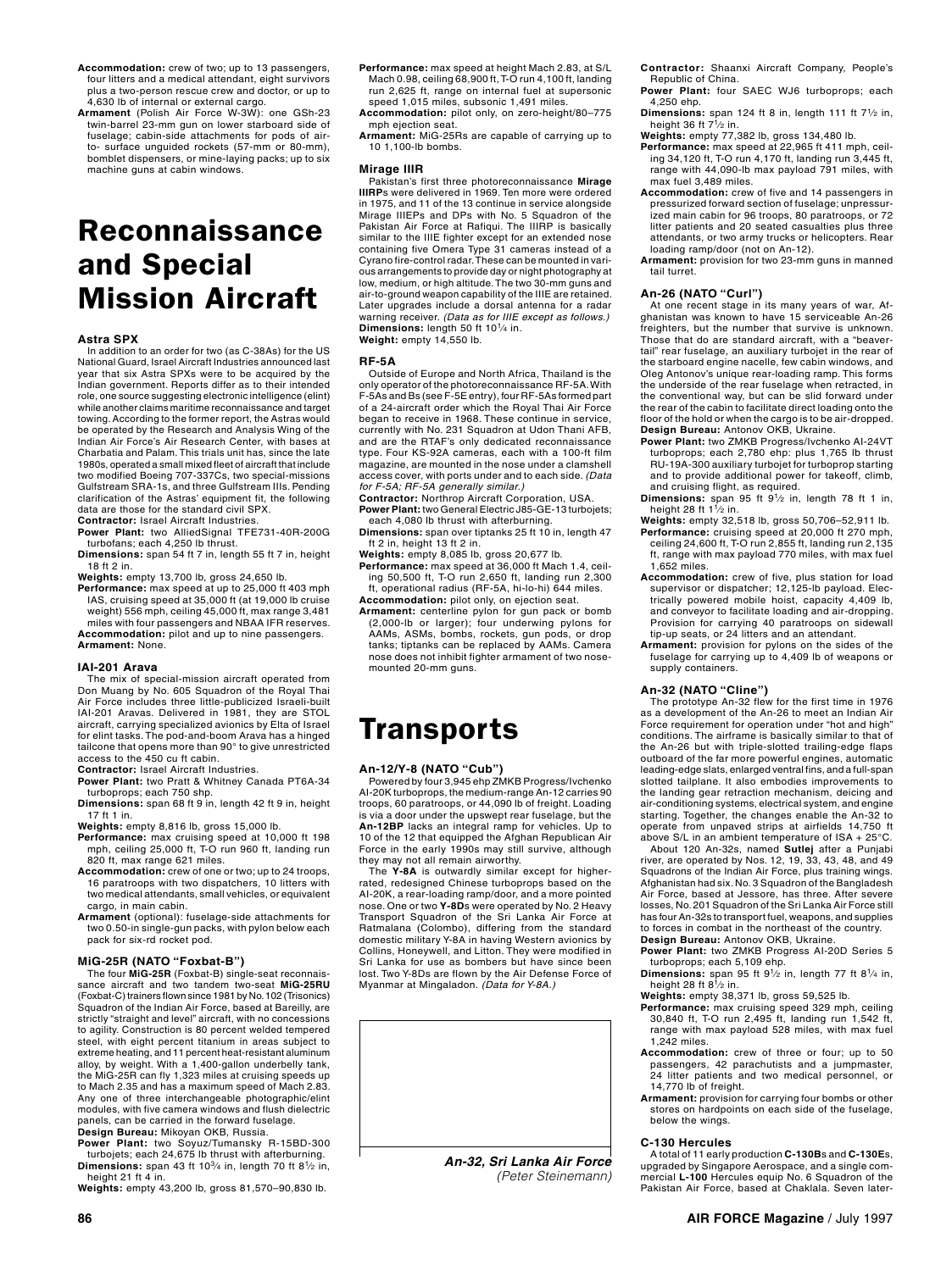- **Accommodation:** crew of two; up to 13 passengers, four litters and a medical attendant, eight survivors plus a two-person rescue crew and doctor, or up to .<br>4,630 lb of internal or external cargo.
- Armament (Polish Air Force W-3W): one GSh-23 twin‑barrel 23‑mm gun on lower starboard side of fuselage; cabin-side attachments for pods of airto- surface unguided rockets (57-mm or 80-mm), bomblet dispensers, or mine-laying packs; up to six machine guns at cabin windows.

## Reconnaissance and Special Mission Aircraft

#### **Astra SPX**

In addition to an order for two (as C-38As) for the US National Guard, Israel Aircraft Industries announced last year that six Astra SPXs were to be acquired by the Indian government. Reports differ as to their intended role, one source suggesting electronic intelligence (elint) while another claims maritime reconnaissance and target towing. According to the former report, the Astras would be operated by the Research and Analysis Wing of the Indian Air Force's Air Research Center, with bases at Charbatia and Palam. This trials unit has, since the late 1980s, operated a small mixed fleet of aircraft that include two modified Boeing 707-337Cs, two special-missions Gulfstream SRA-1s, and three Gulfstream IIIs. Pending clarification of the Astras' equipment fit, the following data are those for the standard civil SPX. **Contractor:** Israel Aircraft Industries.

**Power Plant:** two AlliedSignal TFE731-40R-200G turbofans; each 4,250 lb thrust.

**Dimensions:** span 54 ft 7 in, length 55 ft 7 in, height 18 ft 2 in.

**Weights:** empty 13,700 lb, gross 24,650 lb.

**Performance:** max speed at up to 25,000 ft 403 mph IAS, cruising speed at 35,000 ft (at 19,000 lb cruise weight) 556 mph, ceiling 45,000 ft, max range 3,481 miles with four passengers and NBAA IFR reserves.

**Accommodation:** pilot and up to nine passengers. **Armament:** None.

#### **IAI‑201 Arava**

The mix of special-mission aircraft operated from Don Muang by No. 605 Squadron of the Royal Thai Air Force includes three little-publicized Israeli-built IAI-201 Aravas. Delivered in 1981, they are STOL aircraft, carrying specialized avionics by Elta of Israel for elint tasks. The pod‑and‑boom Arava has a hinged tailcone that opens more than 90° to give unrestricted access to the 450 cu ft cabin.

**Contractor:** Israel Aircraft Industries. **Power Plant:** two Pratt & Whitney Canada PT6A‑34

turboprops; each 750 shp. **Dimensions:** span 68 ft 9 in, length 42 ft 9 in, height 17 ft 1 in.

**Weights:** empty 8,816 lb, gross 15,000 lb.

- **Performance:** max cruising speed at 10,000 ft 198 mph, ceiling 25,000 ft, T-O run 960 ft, landing run 820 ft, max range 621 miles.
- **Accommodation:** crew of one or two; up to 24 troops, 16 paratroops with two dispatchers, 10 litters with two medical attendants, small vehicles, or equivalent cargo, in main cabin.
- **Armament** (optional): fuselage‑side attachments for two 0.50‑in single‑gun packs, with pylon below each pack for six‑rd rocket pod.

## **MiG‑25R (NATO "Foxbat‑B")**

The four MiG-25R (Foxbat-B) single-seat reconnaissance aircraft and two tandem two-seat MiG-25RU<br>(Foxbat-C) trainers flown since 1981 by No. 102 (Trisonics) Squadron of the Indian Air Force, based at Bareilly, are strictly "straight and level" aircraft, with no concessions to agility. Construction is 80 percent welded tempered steel, with eight percent titanium in areas subject to extreme heating, and 11 percent heat‑resistant aluminum alloy, by weight. With a 1,400‑gallon underbelly tank, the MiG‑25R can fly 1,323 miles at cruising speeds up to Mach 2.35 and has a maximum speed of Mach 2.83. Any one of three interchangeable photographic/elint modules, with five camera windows and flush dielectric panels, can be carried in the forward fuselage. **Design Bureau:** Mikoyan OKB, Russia.

**Power Plant:** two Soyuz/Tumansky R-15BD-300 turbojets; each 24,675 lb thrust with afterburning. **Dimensions:** span 43 ft 103⁄4 in, length 70 ft 81⁄2 in, height 21 ft 4 in.

**Weights:** empty 43,200 lb, gross 81,570–90,830 lb.

- **Performance:** max speed at height Mach 2.83, at S/L Mach 0.98, ceiling 68,900 ft, T‑O run 4,100 ft, landing run 2,625 ft, range on internal fuel at supersonic speed 1,015 miles, subsonic 1,491 miles.
- **Accommodation:** pilot only, on zero‑height/80–775 mph ejection seat.
- **Armament:** MiG-25Rs are capable of carrying up to 10 1,100-lb bombs.

#### **Mirage IIIR**

Pakistan's first three photoreconnaissance **Mirage IIIRP**s were delivered in 1969. Ten more were ordered in 1975, and 11 of the 13 continue in service alongside Mirage IIIEPs and DPs with No. 5 Squadron of the Pakistan Air Force at Rafiqui. The IIIRP is basically similar to the IIIE fighter except for an extended nose containing five Omera Type 31 cameras instead of a Cyrano fire-control radar. These can be mounted in vari‑ ous arrangements to provide day or night photography at low, medium, or high altitude. The two 30‑mm guns and air‑to‑ground weapon capability of the IIIE are retained. Later upgrades include a dorsal antenna for a radar warning receiver. *(Data as for IIIE except as follows.)* **Dimensions:** length 50 ft 101⁄4 in. **Weight:** empty 14,550 lb.

#### **RF-5A**

Outside of Europe and North Africa, Thailand is the only operator of the photoreconnaissance RF-5A. With F-5As and Bs (see F-5E entry), four RF-5As formed part of a 24-aircraft order which the Royal Thai Air Force began to receive in 1968. These continue in service, currently with No. 231 Squadron at Udon Thani AFB, and are the RTAF's only dedicated reconnaissance type. Four KS-92A cameras, each with a 100-ft film magazine, are mounted in the nose under a clamshell access cover, with ports under and to each side. *(Data for F-5A; RF-5A generally similar.)*

**Contractor:** Northrop Aircraft Corporation, USA. **Power Plant:** two General Electric J85-GE-13 turbojets;

each 4,080 lb thrust with afterburning.

**Dimensions:** span over tiptanks 25 ft 10 in, length 47 ft 2 in, height 13 ft 2 in.

**Weights:** empty 8,085 lb, gross 20,677 lb.

**Performance:** max speed at 36,000 ft Mach 1.4, ceiling 50,500 ft, T-O run 2,650 ft, landing run 2,300 ft, operational radius (RF-5A, hi-lo-hi) 644 miles.

**Accommodation:** pilot only, on ejection seat. **Armament:** centerline pylon for gun pack or bomb (2,000-lb or larger); four underwing pylons for AAMs, ASMs, bombs, rockets, gun pods, or drop tanks; tiptanks can be replaced by AAMs. Camera nose does not inhibit fighter armament of two nosemounted 20-mm guns.

## **Transports**

**An‑12/Y‑8 (NATO "Cub")** Powered by four 3,945 ehp ZMKB Progress/Ivchenko AI‑20K turboprops, the medium-range An‑12 carries 90 troops, 60 paratroops, or 44,090 lb of freight. Loading is via a door under the upswept rear fuselage, but the **An‑12BP** lacks an integral ramp for vehicles. Up to 10 of the 12 that equipped the Afghan Republican Air Force in the early 1990s may still survive, although they may not all remain airworthy.

The **Y‑8A** is outwardly similar except for higherrated, redesigned Chinese turboprops based on the AI‑20K, a rear‑loading ramp/door, and a more pointed nose. One or two **Y‑8D**s were operated by No. 2 Heavy Transport Squadron of the Sri Lanka Air Force at Ratmalana (Colombo), differing from the standard domestic military Y‑8A in having Western avionics by Collins, Honeywell, and Litton. They were modified in Sri Lanka for use as bombers but have since been lost. Two Y-8Ds are flown by the Air Defense Force of Myanmar at Mingaladon. *(Data for Y-8A.)*



*(Peter Steinemann)*

- **Contractor:** Shaanxi Aircraft Company, People's Republic of China.
- **Power Plant:** four SAEC WJ6 turboprops; each 4,250 ehp.
- **Dimensions:** span 124 ft 8 in, length 111 ft 7<sup>1</sup>/2 in, height 36 ft 7<sup>1</sup>/<sub>2</sub> in.
- **Weights:** empty 77,382 lb, gross 134,480 lb.
- **Performance:** max speed at 22,965 ft 411 mph, ceil‑ ing 34,120 ft, T‑O run 4,170 ft, landing run 3,445 ft, range with 44,090-lb max payload 791 miles, with max fuel 3,489 miles.
- **Accommodation:** crew of five and 14 passengers in pressurized forward section of fuselage; unpressur‑ ized main cabin for 96 troops, 80 paratroops, or 72 litter patients and 20 seated casualties plus three attendants, or two army trucks or helicopters. Rear loading ramp/door (not on An-12).
- **Armament:** provision for two 23‑mm guns in manned tail turret.

An-26 (NATO "Curl")<br>At one recent stage in its many years of war, Afghanistan was known to have 15 serviceable An-26 freighters, but the number that survive is unknown. Those that do are standard aircraft, with a "beavertail" rear fuselage, an auxiliary turbojet in the rear of the starboard engine nacelle, few cabin windows, and Oleg Antonov's unique rear‑loading ramp. This forms the underside of the rear fuselage when retracted, in the conventional way, but can be slid forward under the rear of the cabin to facilitate direct loading onto the floor of the hold or when the cargo is to be air-dropped.

- **Design Bureau:** Antonov OKB, Ukraine. **Power Plant:** two ZMKB Progress/Ivchenko AI‑24VT turboprops; each 2,780 ehp: plus 1,765 lb thrust RU-19A-300 auxiliary turbojet for turboprop starting<br>and to provide additional power for takeoff, climb,<br>and cruising flight, as required.
- **Dimensions:** span 95 ft 9<sup>1</sup>/<sub>2</sub> in, length 78 ft 1 in, height 28 ft 1<sup>1</sup>/<sub>2</sub> in.
- **Weights:** empty 32,518 lb, gross 50,706–52,911 lb. Performance: cruising speed at 20,000 ft 270 mph,<br>ceiling 24,600 ft, T-O run 2,855 ft, landing run 2,135 ft, range with max payload 770 miles, with max fuel 1,652 miles.
- **Accommodation:** crew of five, plus station for load supervisor or dispatcher; 12,125-lb payload. Elec‑ trically powered mobile hoist, capacity 4,409 lb, and conveyor to facilitate loading and air-dropping. Provision for carrying 40 paratroops on sidewall tip-up seats, or 24 litters and an attendant.

**Armament:** provision for pylons on the sides of the fuselage for carrying up to 4,409 lb of weapons or supply containers.

#### **An‑32 (NATO "Cline")**

The prototype An-32 flew for the first time in 1976 as a development of the An-26 to meet an Indian Air Force requirement for operation under "hot and high" conditions. The airframe is basically similar to that of the An‑26 but with triple‑slotted trailing‑edge flaps outboard of the far more powerful engines, automatic leading‑edge slats, enlarged ventral fins, and a full‑span slotted tailplane. It also embodies improvements to the landing gear retraction mechanism, deicing and air-conditioning systems, electrical system, and engine starting. Together, the changes enable the An-32 to operate from unpaved strips at airfields 14,750 ft above S/L in an ambient temperature of ISA + 25°C.

About 120 An-32s, named **Sutlej** after a Punjabi river, are operated by Nos. 12, 19, 33, 43, 48, and 49 Squadrons of the Indian Air Force, plus training wings. Afghanistan had six. No. 3 Squadron of the Bangladesh Air Force, based at Jessore, has three. After severe losses, No. 201 Squadron of the Sri Lanka Air Force still has four An-32s to transport fuel, weapons, and supplies to forces in combat in the northeast of the country. **Design Bureau:** Antonov OKB, Ukraine.

- **Power Plant:** two ZMKB Progress AI-20D Series 5<br>turboprops; each 5,109 ehp.
- **Dimensions:** span 95 ft 91⁄2 in, length 77 ft 81⁄4 in,
- height 28 ft 81⁄2 in. **Weights:** empty 38,371 lb, gross 59,525 lb.
- **Performance:** max cruising speed 329 mph, ceiling 30,840 ft, T-O run 2,495 ft, landing run 1,542 ft, range with max payload 528 miles, with max fuel 1,242 miles.
- **Accommodation:** crew of three or four; up to 50 passengers, 42 parachutists and a jumpmaster, 24 litter patients and two medical personnel, or 14,770 lb of freight. **Armament:** provision for carrying four bombs or other
- stores on hardpoints on each side of the fuselage, below the wings.

#### **C‑130 Hercules**

A total of 11 early production **C-130B**s and **C-130E**s, upgraded by Singapore Aerospace, and a single com‑ mercial **L-100** Hercules equip No. 6 Squadron of the Pakistan Air Force, based at Chaklala. Seven later